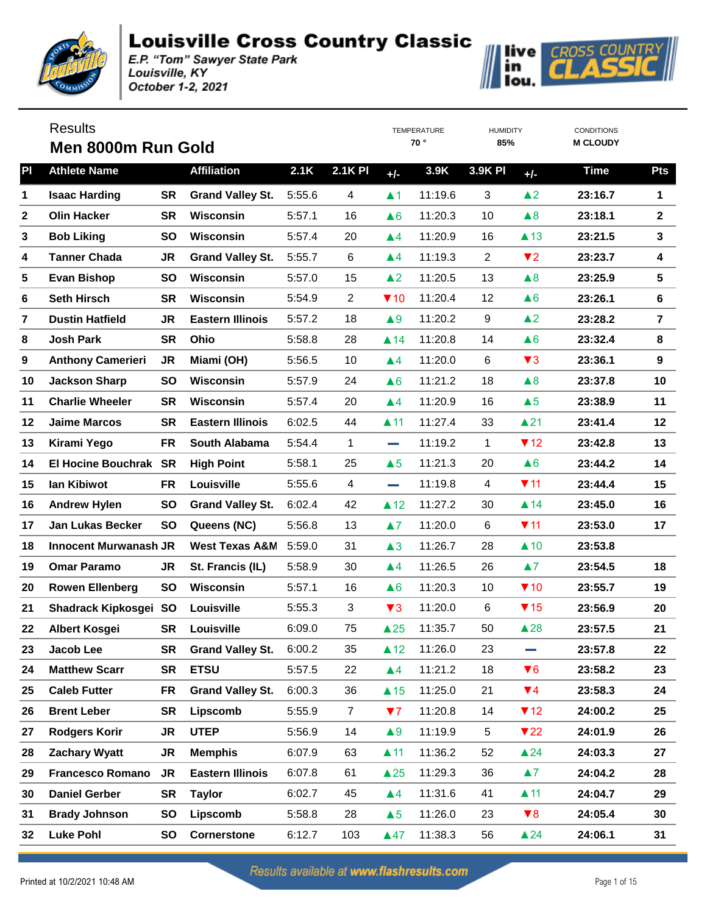

|    | <b>Results</b><br>Men 8000m Run Gold |           |                           |        |                |                        | <b>TEMPERATURE</b><br>70° | <b>HUMIDITY</b><br>85% |                         | <b>CONDITIONS</b><br><b>M CLOUDY</b> |                         |
|----|--------------------------------------|-----------|---------------------------|--------|----------------|------------------------|---------------------------|------------------------|-------------------------|--------------------------------------|-------------------------|
| PI | <b>Athlete Name</b>                  |           | <b>Affiliation</b>        | 2.1K   | <b>2.1K PI</b> | $+/-$                  | 3.9K                      | <b>3.9K PI</b>         | $+/-$                   | <b>Time</b>                          | <b>Pts</b>              |
| 1  | <b>Isaac Harding</b>                 | <b>SR</b> | <b>Grand Valley St.</b>   | 5:55.6 | 4              | $\blacktriangle$ 1     | 11:19.6                   | 3                      | $\triangle$ 2           | 23:16.7                              | 1                       |
| 2  | <b>Olin Hacker</b>                   | <b>SR</b> | <b>Wisconsin</b>          | 5:57.1 | 16             | $\triangle 6$          | 11:20.3                   | 10                     | $\triangle 8$           | 23:18.1                              | $\mathbf{2}$            |
| 3  | <b>Bob Liking</b>                    | <b>SO</b> | <b>Wisconsin</b>          | 5:57.4 | 20             | $\blacktriangle 4$     | 11:20.9                   | 16                     | $\triangle$ 13          | 23:21.5                              | $\mathbf{3}$            |
| 4  | <b>Tanner Chada</b>                  | <b>JR</b> | <b>Grand Valley St.</b>   | 5:55.7 | 6              | $\blacktriangle 4$     | 11:19.3                   | $\overline{2}$         | $\blacktriangledown$ 2  | 23:23.7                              | $\overline{\mathbf{4}}$ |
| 5  | <b>Evan Bishop</b>                   | <b>SO</b> | <b>Wisconsin</b>          | 5:57.0 | 15             | $\blacktriangle$ 2     | 11:20.5                   | 13                     | $\triangle 8$           | 23:25.9                              | 5                       |
| 6  | <b>Seth Hirsch</b>                   | <b>SR</b> | <b>Wisconsin</b>          | 5:54.9 | $\overline{2}$ | $\P$ 10                | 11:20.4                   | 12                     | $\triangle 6$           | 23:26.1                              | 6                       |
| 7  | <b>Dustin Hatfield</b>               | <b>JR</b> | <b>Eastern Illinois</b>   | 5:57.2 | 18             | $\blacktriangle 9$     | 11:20.2                   | 9                      | $\blacktriangle$ 2      | 23:28.2                              | $\overline{7}$          |
| 8  | <b>Josh Park</b>                     | <b>SR</b> | Ohio                      | 5:58.8 | 28             | $\blacktriangle$ 14    | 11:20.8                   | 14                     | $\triangle 6$           | 23:32.4                              | 8                       |
| 9  | <b>Anthony Camerieri</b>             | <b>JR</b> | Miami (OH)                | 5:56.5 | 10             | $\blacktriangle 4$     | 11:20.0                   | 6                      | $\blacktriangledown$ 3  | 23:36.1                              | $\boldsymbol{9}$        |
| 10 | <b>Jackson Sharp</b>                 | <b>SO</b> | Wisconsin                 | 5:57.9 | 24             | $\triangle 6$          | 11:21.2                   | 18                     | $\triangle 8$           | 23:37.8                              | 10                      |
| 11 | <b>Charlie Wheeler</b>               | <b>SR</b> | <b>Wisconsin</b>          | 5:57.4 | 20             | $\blacktriangle 4$     | 11:20.9                   | 16                     | $\triangle 5$           | 23:38.9                              | 11                      |
| 12 | <b>Jaime Marcos</b>                  | <b>SR</b> | <b>Eastern Illinois</b>   | 6:02.5 | 44             | $\blacktriangle$ 11    | 11:27.4                   | 33                     | $\triangle$ 21          | 23:41.4                              | 12                      |
| 13 | Kirami Yego                          | <b>FR</b> | <b>South Alabama</b>      | 5:54.4 | 1              | <b>College</b>         | 11:19.2                   | $\mathbf 1$            | $\P$ 12                 | 23:42.8                              | 13                      |
| 14 | El Hocine Bouchrak SR                |           | <b>High Point</b>         | 5:58.1 | 25             | $\triangle 5$          | 11:21.3                   | 20                     | $\triangle 6$           | 23:44.2                              | 14                      |
| 15 | lan Kibiwot                          | <b>FR</b> | Louisville                | 5:55.6 | 4              | <b>College</b>         | 11:19.8                   | 4                      | $\P$ 11                 | 23:44.4                              | 15                      |
| 16 | <b>Andrew Hylen</b>                  | <b>SO</b> | <b>Grand Valley St.</b>   | 6:02.4 | 42             | $\triangle$ 12         | 11:27.2                   | 30                     | $\blacktriangle$ 14     | 23:45.0                              | 16                      |
| 17 | <b>Jan Lukas Becker</b>              | <b>SO</b> | Queens (NC)               | 5:56.8 | 13             | $\blacktriangle 7$     | 11:20.0                   | 6                      | $\P$ 11                 | 23:53.0                              | 17                      |
| 18 | <b>Innocent Murwanash JR</b>         |           | <b>West Texas A&amp;M</b> | 5:59.0 | 31             | $\triangle 3$          | 11:26.7                   | 28                     | $\triangle$ 10          | 23:53.8                              |                         |
| 19 | <b>Omar Paramo</b>                   | <b>JR</b> | St. Francis (IL)          | 5:58.9 | 30             | $\blacktriangle 4$     | 11:26.5                   | 26                     | $\blacktriangle 7$      | 23:54.5                              | 18                      |
| 20 | <b>Rowen Ellenberg</b>               | <b>SO</b> | Wisconsin                 | 5:57.1 | 16             | $\triangle 6$          | 11:20.3                   | 10                     | $\P$ 10                 | 23:55.7                              | 19                      |
| 21 | Shadrack Kipkosgei SO                |           | Louisville                | 5:55.3 | 3              | $\blacktriangledown$ 3 | 11:20.0                   | 6                      | $\P$ 15                 | 23:56.9                              | 20                      |
| 22 | <b>Albert Kosgei</b>                 | <b>SR</b> | Louisville                | 6:09.0 | 75             | $\triangle 25$         | 11:35.7                   | 50                     | $\triangle 28$          | 23:57.5                              | 21                      |
| 23 | Jacob Lee                            | <b>SR</b> | <b>Grand Valley St.</b>   | 6:00.2 | 35             | $\triangle$ 12         | 11:26.0                   | 23                     |                         | 23:57.8                              | 22                      |
| 24 | <b>Matthew Scarr</b>                 | <b>SR</b> | <b>ETSU</b>               | 5:57.5 | 22             | $\blacktriangle 4$     | 11:21.2                   | 18                     | $\blacktriangledown 6$  | 23:58.2                              | 23                      |
| 25 | <b>Caleb Futter</b>                  | <b>FR</b> | <b>Grand Valley St.</b>   | 6:00.3 | 36             | $\triangle$ 15         | 11:25.0                   | 21                     | $\Psi$ 4                | 23:58.3                              | 24                      |
| 26 | <b>Brent Leber</b>                   | <b>SR</b> | Lipscomb                  | 5:55.9 | $\overline{7}$ | 77                     | 11:20.8                   | 14                     | $\P$ 12                 | 24:00.2                              | 25                      |
| 27 | <b>Rodgers Korir</b>                 | <b>JR</b> | <b>UTEP</b>               | 5:56.9 | 14             | $\blacktriangle 9$     | 11:19.9                   | 5                      | $\blacktriangledown$ 22 | 24:01.9                              | 26                      |
| 28 | <b>Zachary Wyatt</b>                 | JR        | <b>Memphis</b>            | 6:07.9 | 63             | $\blacktriangle$ 11    | 11:36.2                   | 52                     | $\triangle$ 24          | 24:03.3                              | 27                      |
| 29 | <b>Francesco Romano</b>              | <b>JR</b> | <b>Eastern Illinois</b>   | 6:07.8 | 61             | $\triangle 25$         | 11:29.3                   | 36                     | $\blacktriangle 7$      | 24:04.2                              | 28                      |
| 30 | <b>Daniel Gerber</b>                 | <b>SR</b> | <b>Taylor</b>             | 6:02.7 | 45             | $\blacktriangle 4$     | 11:31.6                   | 41                     | $\blacktriangle$ 11     | 24:04.7                              | 29                      |
| 31 | <b>Brady Johnson</b>                 | SO        | Lipscomb                  | 5:58.8 | 28             | $\triangle 5$          | 11:26.0                   | 23                     | $\blacktriangledown 8$  | 24:05.4                              | 30                      |
| 32 | <b>Luke Pohl</b>                     | SO        | <b>Cornerstone</b>        | 6:12.7 | 103            | $\triangle 47$         | 11:38.3                   | 56                     | $\triangle 24$          | 24:06.1                              | 31                      |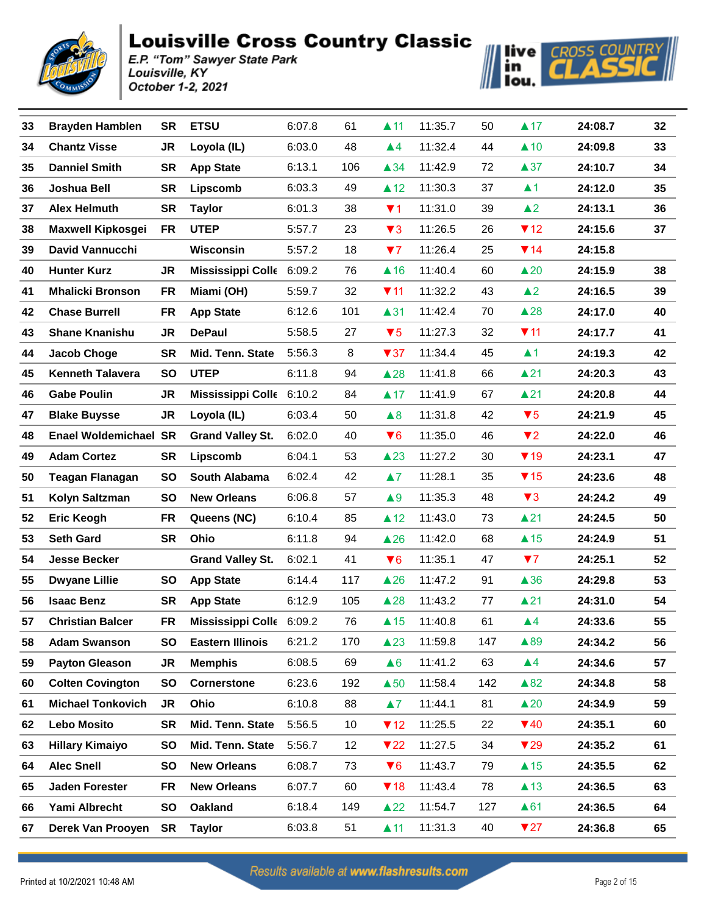



| 33 | <b>Brayden Hamblen</b>       | <b>SR</b> | <b>ETSU</b>                     | 6:07.8 | 61  | $\blacktriangle$ 11     | 11:35.7 | 50  | $\blacktriangle$ 17     | 24:08.7 | 32 |
|----|------------------------------|-----------|---------------------------------|--------|-----|-------------------------|---------|-----|-------------------------|---------|----|
| 34 | <b>Chantz Visse</b>          | <b>JR</b> | Loyola (IL)                     | 6:03.0 | 48  | $\blacktriangle$ 4      | 11:32.4 | 44  | $\triangle$ 10          | 24:09.8 | 33 |
| 35 | <b>Danniel Smith</b>         | <b>SR</b> | <b>App State</b>                | 6:13.1 | 106 | $\triangle$ 34          | 11:42.9 | 72  | $\triangle 37$          | 24:10.7 | 34 |
| 36 | Joshua Bell                  | <b>SR</b> | Lipscomb                        | 6:03.3 | 49  | $\triangle$ 12          | 11:30.3 | 37  | $\blacktriangle$ 1      | 24:12.0 | 35 |
| 37 | <b>Alex Helmuth</b>          | <b>SR</b> | <b>Taylor</b>                   | 6:01.3 | 38  | $\P$ 1                  | 11:31.0 | 39  | $\triangle$ 2           | 24:13.1 | 36 |
| 38 | <b>Maxwell Kipkosgei</b>     | FR        | <b>UTEP</b>                     | 5:57.7 | 23  | $\blacktriangledown$ 3  | 11:26.5 | 26  | $\P$ 12                 | 24:15.6 | 37 |
| 39 | <b>David Vannucchi</b>       |           | Wisconsin                       | 5:57.2 | 18  | 77                      | 11:26.4 | 25  | $\P$ 14                 | 24:15.8 |    |
| 40 | <b>Hunter Kurz</b>           | <b>JR</b> | <b>Mississippi Colle</b>        | 6:09.2 | 76  | $\triangle$ 16          | 11:40.4 | 60  | $\triangle 20$          | 24:15.9 | 38 |
| 41 | <b>Mhalicki Bronson</b>      | FR        | Miami (OH)                      | 5:59.7 | 32  | $\P$ 11                 | 11:32.2 | 43  | $\triangle$ 2           | 24:16.5 | 39 |
| 42 | <b>Chase Burrell</b>         | FR        | <b>App State</b>                | 6:12.6 | 101 | $\blacktriangle$ 31     | 11:42.4 | 70  | $\triangle 28$          | 24:17.0 | 40 |
| 43 | <b>Shane Knanishu</b>        | JR.       | <b>DePaul</b>                   | 5:58.5 | 27  | $\blacktriangledown 5$  | 11:27.3 | 32  | $\P$ 11                 | 24:17.7 | 41 |
| 44 | <b>Jacob Choge</b>           | <b>SR</b> | Mid. Tenn. State                | 5:56.3 | 8   | $\blacktriangledown$ 37 | 11:34.4 | 45  | $\blacktriangle$ 1      | 24:19.3 | 42 |
| 45 | <b>Kenneth Talavera</b>      | SO        | <b>UTEP</b>                     | 6:11.8 | 94  | $\triangle 28$          | 11:41.8 | 66  | $\blacktriangle$ 21     | 24:20.3 | 43 |
| 46 | <b>Gabe Poulin</b>           | JR        | <b>Mississippi Colle</b> 6:10.2 |        | 84  | $\blacktriangle$ 17     | 11:41.9 | 67  | $\triangle$ 21          | 24:20.8 | 44 |
| 47 | <b>Blake Buysse</b>          | JR        | Loyola (IL)                     | 6:03.4 | 50  | $\triangle 8$           | 11:31.8 | 42  | $\blacktriangledown 5$  | 24:21.9 | 45 |
| 48 | <b>Enael Woldemichael SR</b> |           | <b>Grand Valley St.</b>         | 6:02.0 | 40  | $\blacktriangledown 6$  | 11:35.0 | 46  | $\blacktriangledown$ 2  | 24:22.0 | 46 |
| 49 | <b>Adam Cortez</b>           | <b>SR</b> | Lipscomb                        | 6:04.1 | 53  | $\triangle 23$          | 11:27.2 | 30  | $\blacktriangledown$ 19 | 24:23.1 | 47 |
| 50 | <b>Teagan Flanagan</b>       | <b>SO</b> | South Alabama                   | 6:02.4 | 42  | $\blacktriangle$ 7      | 11:28.1 | 35  | $\P$ 15                 | 24:23.6 | 48 |
| 51 | Kolyn Saltzman               | <b>SO</b> | <b>New Orleans</b>              | 6:06.8 | 57  | $\triangle 9$           | 11:35.3 | 48  | $\blacktriangledown$ 3  | 24:24.2 | 49 |
| 52 | <b>Eric Keogh</b>            | <b>FR</b> | Queens (NC)                     | 6:10.4 | 85  | $\triangle$ 12          | 11:43.0 | 73  | $\triangle$ 21          | 24:24.5 | 50 |
| 53 | <b>Seth Gard</b>             | <b>SR</b> | Ohio                            | 6:11.8 | 94  | $\triangle 26$          | 11:42.0 | 68  | $\triangle$ 15          | 24:24.9 | 51 |
| 54 | <b>Jesse Becker</b>          |           | <b>Grand Valley St.</b>         | 6:02.1 | 41  | $\blacktriangledown 6$  | 11:35.1 | 47  | 77                      | 24:25.1 | 52 |
| 55 | <b>Dwyane Lillie</b>         | <b>SO</b> | <b>App State</b>                | 6:14.4 | 117 | $\triangle$ 26          | 11:47.2 | 91  | $\triangle$ 36          | 24:29.8 | 53 |
| 56 | <b>Isaac Benz</b>            | <b>SR</b> | <b>App State</b>                | 6:12.9 | 105 | $\triangle$ 28          | 11:43.2 | 77  | $\blacktriangle$ 21     | 24:31.0 | 54 |
| 57 | <b>Christian Balcer</b>      | FR        | Mississippi Colle 6:09.2        |        | 76  | $\triangle$ 15          | 11:40.8 | 61  | $\blacktriangle 4$      | 24:33.6 | 55 |
| 58 | <b>Adam Swanson</b>          | <b>SO</b> | <b>Eastern Illinois</b>         | 6:21.2 | 170 | $\triangle$ 23          | 11:59.8 | 147 | ▲89                     | 24:34.2 | 56 |
| 59 | <b>Payton Gleason</b>        | JR        | <b>Memphis</b>                  | 6:08.5 | 69  | $\triangle 6$           | 11:41.2 | 63  | $\blacktriangle 4$      | 24:34.6 | 57 |
| 60 | <b>Colten Covington</b>      | SO        | <b>Cornerstone</b>              | 6:23.6 | 192 | $\triangle$ 50          | 11:58.4 | 142 | $\triangle 82$          | 24:34.8 | 58 |
| 61 | <b>Michael Tonkovich</b>     | <b>JR</b> | Ohio                            | 6:10.8 | 88  | $\blacktriangle 7$      | 11:44.1 | 81  | $\triangle 20$          | 24:34.9 | 59 |
| 62 | <b>Lebo Mosito</b>           | <b>SR</b> | Mid. Tenn. State                | 5:56.5 | 10  | $\P$ 12                 | 11:25.5 | 22  | $\P$ 40                 | 24:35.1 | 60 |
| 63 | <b>Hillary Kimaiyo</b>       | SO        | Mid. Tenn. State                | 5:56.7 | 12  | $\blacktriangledown$ 22 | 11:27.5 | 34  | $\blacktriangledown$ 29 | 24:35.2 | 61 |
| 64 | <b>Alec Snell</b>            | <b>SO</b> | <b>New Orleans</b>              | 6:08.7 | 73  | $\blacktriangledown 6$  | 11:43.7 | 79  | $\triangle$ 15          | 24:35.5 | 62 |
| 65 | <b>Jaden Forester</b>        | FR        | <b>New Orleans</b>              | 6:07.7 | 60  | $\P$ 18                 | 11:43.4 | 78  | $\triangle$ 13          | 24:36.5 | 63 |
| 66 | Yami Albrecht                | SO        | <b>Oakland</b>                  | 6:18.4 | 149 | $\triangle 22$          | 11:54.7 | 127 | $\triangle 61$          | 24:36.5 | 64 |
| 67 | Derek Van Prooyen            | SR        | <b>Taylor</b>                   | 6:03.8 | 51  | $\blacktriangle$ 11     | 11:31.3 | 40  | $\blacktriangledown 27$ | 24:36.8 | 65 |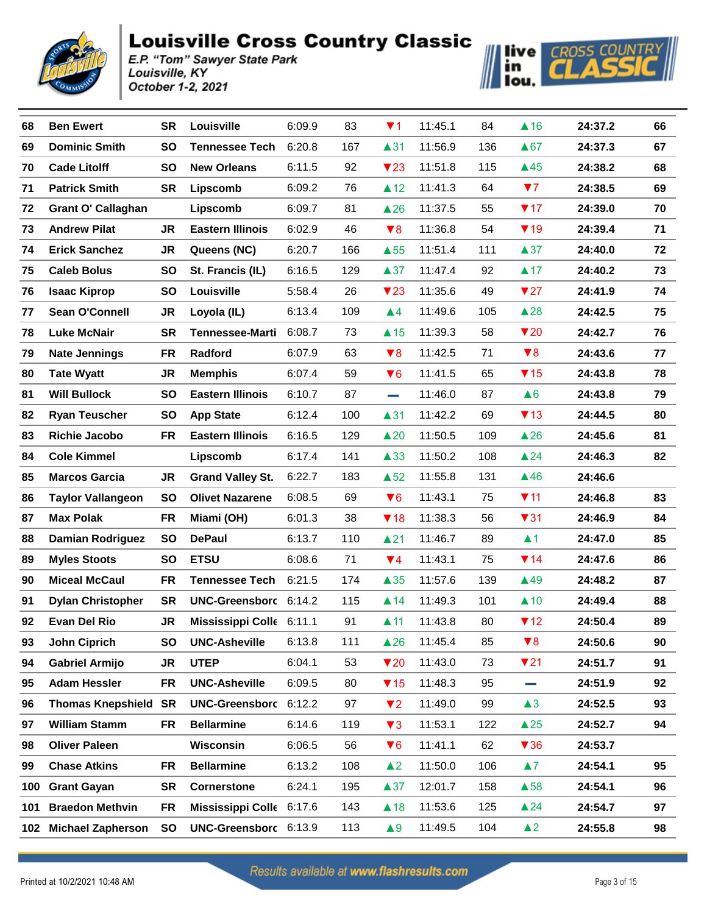



| 68  | <b>Ben Ewert</b>            | <b>SR</b> | Louisville               | 6:09.9 | 83  | $\P$ 1                  | 11:45.1 | 84  | $\triangle$ 16          | 24:37.2 | 66 |
|-----|-----------------------------|-----------|--------------------------|--------|-----|-------------------------|---------|-----|-------------------------|---------|----|
| 69  | <b>Dominic Smith</b>        | <b>SO</b> | <b>Tennessee Tech</b>    | 6:20.8 | 167 | $\blacktriangle$ 31     | 11:56.9 | 136 | $\triangle 67$          | 24:37.3 | 67 |
| 70  | <b>Cade Litolff</b>         | <b>SO</b> | <b>New Orleans</b>       | 6:11.5 | 92  | $\blacktriangledown$ 23 | 11:51.8 | 115 | $\triangle$ 45          | 24:38.2 | 68 |
| 71  | <b>Patrick Smith</b>        | <b>SR</b> | Lipscomb                 | 6:09.2 | 76  | $\triangle$ 12          | 11:41.3 | 64  | 77                      | 24:38.5 | 69 |
| 72  | <b>Grant O' Callaghan</b>   |           | Lipscomb                 | 6:09.7 | 81  | $\triangle 26$          | 11:37.5 | 55  | $\P$ 17                 | 24:39.0 | 70 |
| 73  | <b>Andrew Pilat</b>         | <b>JR</b> | <b>Eastern Illinois</b>  | 6:02.9 | 46  | $\blacktriangledown 8$  | 11:36.8 | 54  | $\P$ 19                 | 24:39.4 | 71 |
| 74  | <b>Erick Sanchez</b>        | JR        | Queens (NC)              | 6:20.7 | 166 | $\triangle$ 55          | 11:51.4 | 111 | $\triangle 37$          | 24:40.0 | 72 |
| 75  | <b>Caleb Bolus</b>          | <b>SO</b> | St. Francis (IL)         | 6:16.5 | 129 | $\triangle 37$          | 11:47.4 | 92  | $\blacktriangle$ 17     | 24:40.2 | 73 |
| 76  | <b>Isaac Kiprop</b>         | <b>SO</b> | Louisville               | 5:58.4 | 26  | $\blacktriangledown$ 23 | 11:35.6 | 49  | $\blacktriangledown$ 27 | 24:41.9 | 74 |
| 77  | Sean O'Connell              | JR        | Loyola (IL)              | 6:13.4 | 109 | $\blacktriangle$ 4      | 11:49.6 | 105 | $\triangle$ 28          | 24:42.5 | 75 |
| 78  | <b>Luke McNair</b>          | <b>SR</b> | <b>Tennessee-Marti</b>   | 6:08.7 | 73  | $\triangle$ 15          | 11:39.3 | 58  | $\blacktriangledown$ 20 | 24:42.7 | 76 |
| 79  | <b>Nate Jennings</b>        | FR        | Radford                  | 6:07.9 | 63  | $\blacktriangledown 8$  | 11:42.5 | 71  | $\blacktriangledown 8$  | 24:43.6 | 77 |
| 80  | <b>Tate Wyatt</b>           | JR        | <b>Memphis</b>           | 6:07.4 | 59  | $\blacktriangledown 6$  | 11:41.5 | 65  | $\P$ 15                 | 24:43.8 | 78 |
| 81  | <b>Will Bullock</b>         | <b>SO</b> | <b>Eastern Illinois</b>  | 6:10.7 | 87  | and the                 | 11:46.0 | 87  | $\triangle 6$           | 24:43.8 | 79 |
| 82  | <b>Ryan Teuscher</b>        | <b>SO</b> | <b>App State</b>         | 6:12.4 | 100 | $\blacktriangle$ 31     | 11:42.2 | 69  | $\P$ 13                 | 24:44.5 | 80 |
| 83  | <b>Richie Jacobo</b>        | <b>FR</b> | <b>Eastern Illinois</b>  | 6:16.5 | 129 | $\triangle 20$          | 11:50.5 | 109 | $\triangle 26$          | 24:45.6 | 81 |
| 84  | <b>Cole Kimmel</b>          |           | Lipscomb                 | 6:17.4 | 141 | $\triangle$ 33          | 11:50.2 | 108 | $\triangle$ 24          | 24:46.3 | 82 |
| 85  | <b>Marcos Garcia</b>        | JR        | <b>Grand Valley St.</b>  | 6:22.7 | 183 | $\triangle$ 52          | 11:55.8 | 131 | $\triangle$ 46          | 24:46.6 |    |
| 86  | <b>Taylor Vallangeon</b>    | <b>SO</b> | <b>Olivet Nazarene</b>   | 6:08.5 | 69  | $\blacktriangledown 6$  | 11:43.1 | 75  | $\P$ 11                 | 24:46.8 | 83 |
| 87  | <b>Max Polak</b>            | FR        | Miami (OH)               | 6:01.3 | 38  | $\P$ 18                 | 11:38.3 | 56  | $\blacktriangledown$ 31 | 24:46.9 | 84 |
| 88  | <b>Damian Rodriguez</b>     | <b>SO</b> | <b>DePaul</b>            | 6:13.7 | 110 | $\triangle$ 21          | 11:46.7 | 89  | $\blacktriangle$ 1      | 24:47.0 | 85 |
| 89  | <b>Myles Stoots</b>         | <b>SO</b> | <b>ETSU</b>              | 6:08.6 | 71  | $\P$ 4                  | 11:43.1 | 75  | $\P$ 14                 | 24:47.6 | 86 |
| 90  | <b>Miceal McCaul</b>        | <b>FR</b> | <b>Tennessee Tech</b>    | 6:21.5 | 174 | $\triangle 35$          | 11:57.6 | 139 | $\triangle$ 49          | 24:48.2 | 87 |
| 91  | <b>Dylan Christopher</b>    | <b>SR</b> | UNC-Greensborc 6:14.2    |        | 115 | $\blacktriangle$ 14     | 11:49.3 | 101 | $\triangle$ 10          | 24:49.4 | 88 |
| 92  | <b>Evan Del Rio</b>         | JR        | Mississippi Colle 6:11.1 |        | 91  | $\blacktriangle$ 11     | 11:43.8 | 80  | $\P$ 12                 | 24:50.4 | 89 |
| 93  | <b>John Ciprich</b>         | SO        | <b>UNC-Asheville</b>     | 6:13.8 | 111 | $\triangle$ 26          | 11:45.4 | 85  | $\blacktriangledown 8$  | 24:50.6 | 90 |
| 94  | <b>Gabriel Armijo</b>       | JR        | <b>UTEP</b>              | 6:04.1 | 53  | $\blacktriangledown$ 20 | 11:43.0 | 73  | $\nabla$ 21             | 24:51.7 | 91 |
| 95  | <b>Adam Hessler</b>         | <b>FR</b> | <b>UNC-Asheville</b>     | 6:09.5 | 80  | $\P$ 15                 | 11:48.3 | 95  | <b>College</b>          | 24:51.9 | 92 |
| 96  | <b>Thomas Knepshield SR</b> |           | <b>UNC-Greensborc</b>    | 6:12.2 | 97  | $\P$                    | 11:49.0 | 99  | $\triangle 3$           | 24:52.5 | 93 |
| 97  | <b>William Stamm</b>        | <b>FR</b> | <b>Bellarmine</b>        | 6:14.6 | 119 | $\blacktriangledown$ 3  | 11:53.1 | 122 | $\triangle 25$          | 24:52.7 | 94 |
| 98  | <b>Oliver Paleen</b>        |           | Wisconsin                | 6:06.5 | 56  | $\P$ 6                  | 11:41.1 | 62  | $\blacktriangledown 36$ | 24:53.7 |    |
| 99  | <b>Chase Atkins</b>         | <b>FR</b> | <b>Bellarmine</b>        | 6:13.2 | 108 | $\triangle$ 2           | 11:50.0 | 106 | $\blacktriangle 7$      | 24:54.1 | 95 |
| 100 | <b>Grant Gayan</b>          | <b>SR</b> | <b>Cornerstone</b>       | 6:24.1 | 195 | $\triangle 37$          | 12:01.7 | 158 | $\triangle$ 58          | 24:54.1 | 96 |
| 101 | <b>Braedon Methvin</b>      | <b>FR</b> | Mississippi Colle 6:17.6 |        | 143 | $\triangle$ 18          | 11:53.6 | 125 | $\triangle$ 24          | 24:54.7 | 97 |
| 102 | <b>Michael Zapherson</b>    | SO        | UNC-Greensborc 6:13.9    |        | 113 | $\triangle 9$           | 11:49.5 | 104 | $\blacktriangle$ 2      | 24:55.8 | 98 |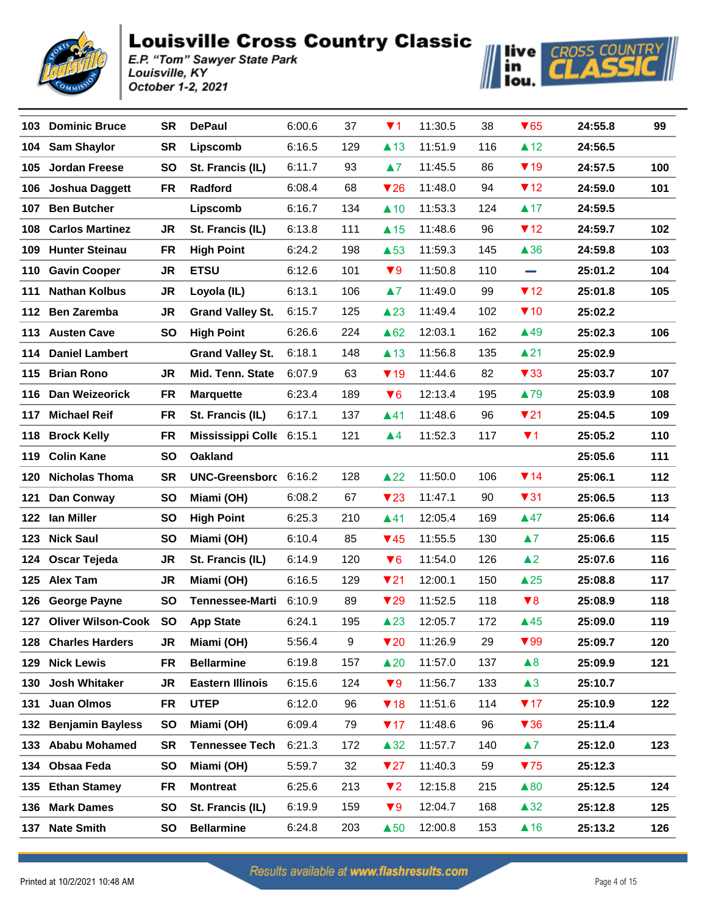



| 103 | <b>Dominic Bruce</b>    | SR        | <b>DePaul</b>            | 6:00.6 | 37  | $\P$ 1                  | 11:30.5 | 38  | $\blacktriangledown 65$ | 24:55.8 | 99  |
|-----|-------------------------|-----------|--------------------------|--------|-----|-------------------------|---------|-----|-------------------------|---------|-----|
| 104 | <b>Sam Shaylor</b>      | <b>SR</b> | Lipscomb                 | 6:16.5 | 129 | $\triangle$ 13          | 11:51.9 | 116 | $\triangle$ 12          | 24:56.5 |     |
| 105 | <b>Jordan Freese</b>    | <b>SO</b> | St. Francis (IL)         | 6:11.7 | 93  | $\blacktriangle 7$      | 11:45.5 | 86  | $\P$ 19                 | 24:57.5 | 100 |
| 106 | <b>Joshua Daggett</b>   | <b>FR</b> | Radford                  | 6:08.4 | 68  | $\nabla$ 26             | 11:48.0 | 94  | $\P$ 12                 | 24:59.0 | 101 |
| 107 | <b>Ben Butcher</b>      |           | Lipscomb                 | 6:16.7 | 134 | $\triangle$ 10          | 11:53.3 | 124 | $\triangle$ 17          | 24:59.5 |     |
| 108 | <b>Carlos Martinez</b>  | JR        | St. Francis (IL)         | 6:13.8 | 111 | $\triangle$ 15          | 11:48.6 | 96  | $\P$ 12                 | 24:59.7 | 102 |
| 109 | <b>Hunter Steinau</b>   | FR        | <b>High Point</b>        | 6:24.2 | 198 | $\triangle$ 53          | 11:59.3 | 145 | $\triangle$ 36          | 24:59.8 | 103 |
| 110 | <b>Gavin Cooper</b>     | <b>JR</b> | <b>ETSU</b>              | 6:12.6 | 101 | $\blacktriangledown 9$  | 11:50.8 | 110 | <b>Contract</b>         | 25:01.2 | 104 |
| 111 | <b>Nathan Kolbus</b>    | JR        | Loyola (IL)              | 6:13.1 | 106 | $\blacktriangle 7$      | 11:49.0 | 99  | $\P$ 12                 | 25:01.8 | 105 |
| 112 | <b>Ben Zaremba</b>      | JR        | <b>Grand Valley St.</b>  | 6:15.7 | 125 | $\triangle$ 23          | 11:49.4 | 102 | $\P$ 10                 | 25:02.2 |     |
|     | 113 Austen Cave         | SO        | <b>High Point</b>        | 6:26.6 | 224 | $\triangle 62$          | 12:03.1 | 162 | ▲49                     | 25:02.3 | 106 |
| 114 | <b>Daniel Lambert</b>   |           | <b>Grand Valley St.</b>  | 6:18.1 | 148 | $\triangle$ 13          | 11:56.8 | 135 | $\blacktriangle$ 21     | 25:02.9 |     |
| 115 | <b>Brian Rono</b>       | JR.       | Mid. Tenn. State         | 6:07.9 | 63  | $\P$ 19                 | 11:44.6 | 82  | $\blacktriangledown$ 33 | 25:03.7 | 107 |
| 116 | Dan Weizeorick          | FR        | <b>Marquette</b>         | 6:23.4 | 189 | $\blacktriangledown 6$  | 12:13.4 | 195 | ▲79                     | 25:03.9 | 108 |
| 117 | <b>Michael Reif</b>     | FR        | St. Francis (IL)         | 6:17.1 | 137 | ▲41                     | 11:48.6 | 96  | 721                     | 25:04.5 | 109 |
| 118 | <b>Brock Kelly</b>      | FR        | Mississippi Colle 6:15.1 |        | 121 | $\blacktriangle$ 4      | 11:52.3 | 117 | $\P$ 1                  | 25:05.2 | 110 |
|     | 119 Colin Kane          | SO        | <b>Oakland</b>           |        |     |                         |         |     |                         | 25:05.6 | 111 |
| 120 | <b>Nicholas Thoma</b>   | <b>SR</b> | UNC-Greensborc 6:16.2    |        | 128 | $\triangle 22$          | 11:50.0 | 106 | $\P$ 14                 | 25:06.1 | 112 |
| 121 | Dan Conway              | SO        | Miami (OH)               | 6:08.2 | 67  | $\blacktriangledown$ 23 | 11:47.1 | 90  | $\blacktriangledown$ 31 | 25:06.5 | 113 |
|     | 122 Ian Miller          | SO        | <b>High Point</b>        | 6:25.3 | 210 | $\blacktriangle$ 41     | 12:05.4 | 169 | $\triangle 47$          | 25:06.6 | 114 |
|     | 123 Nick Saul           | SO        | Miami (OH)               | 6:10.4 | 85  | $\P$ 45                 | 11:55.5 | 130 | $\blacktriangle 7$      | 25:06.6 | 115 |
| 124 | Oscar Tejeda            | JR        | St. Francis (IL)         | 6:14.9 | 120 | $\blacktriangledown 6$  | 11:54.0 | 126 | $\blacktriangle$ 2      | 25:07.6 | 116 |
|     | 125 Alex Tam            | JR        | Miami (OH)               | 6:16.5 | 129 | $\nabla$ 21             | 12:00.1 | 150 | $\triangle 25$          | 25:08.8 | 117 |
| 126 | <b>George Payne</b>     | SO        | <b>Tennessee-Marti</b>   | 6:10.9 | 89  | $\blacktriangledown$ 29 | 11:52.5 | 118 | $\blacktriangledown 8$  | 25:08.9 | 118 |
|     | 127 Oliver Wilson-Cook  | <b>SO</b> | <b>App State</b>         | 6:24.1 | 195 | $\triangle 23$          | 12:05.7 | 172 | $\triangle$ 45          | 25:09.0 | 119 |
| 128 | <b>Charles Harders</b>  | JR        | Miami (OH)               | 5:56.4 | 9   | $\blacktriangledown$ 20 | 11:26.9 | 29  | $\blacktriangledown 99$ | 25:09.7 | 120 |
| 129 | <b>Nick Lewis</b>       | FR        | <b>Bellarmine</b>        | 6:19.8 | 157 | $\triangle 20$          | 11:57.0 | 137 | $\blacktriangle 8$      | 25:09.9 | 121 |
| 130 | <b>Josh Whitaker</b>    | JR        | <b>Eastern Illinois</b>  | 6:15.6 | 124 | $\blacktriangledown 9$  | 11:56.7 | 133 | $\triangle 3$           | 25:10.7 |     |
| 131 | Juan Olmos              | FR        | <b>UTEP</b>              | 6:12.0 | 96  | $\P$ 18                 | 11:51.6 | 114 | $\P$ 17                 | 25:10.9 | 122 |
| 132 | <b>Benjamin Bayless</b> | <b>SO</b> | Miami (OH)               | 6:09.4 | 79  | $\P$ 17                 | 11:48.6 | 96  | $\blacktriangledown 36$ | 25:11.4 |     |
| 133 | <b>Ababu Mohamed</b>    | <b>SR</b> | <b>Tennessee Tech</b>    | 6:21.3 | 172 | $\triangle 32$          | 11:57.7 | 140 | $\blacktriangle 7$      | 25:12.0 | 123 |
|     | 134 Obsaa Feda          | <b>SO</b> | Miami (OH)               | 5:59.7 | 32  | 727                     | 11:40.3 | 59  | 75                      | 25:12.3 |     |
| 135 | <b>Ethan Stamey</b>     | FR        | <b>Montreat</b>          | 6:25.6 | 213 | $\P$                    | 12:15.8 | 215 | $\triangle 80$          | 25:12.5 | 124 |
| 136 | <b>Mark Dames</b>       | <b>SO</b> | St. Francis (IL)         | 6:19.9 | 159 | $\blacktriangledown 9$  | 12:04.7 | 168 | $\triangle 32$          | 25:12.8 | 125 |
| 137 | <b>Nate Smith</b>       | SO        | <b>Bellarmine</b>        | 6:24.8 | 203 | $\triangle$ 50          | 12:00.8 | 153 | $\triangle$ 16          | 25:13.2 | 126 |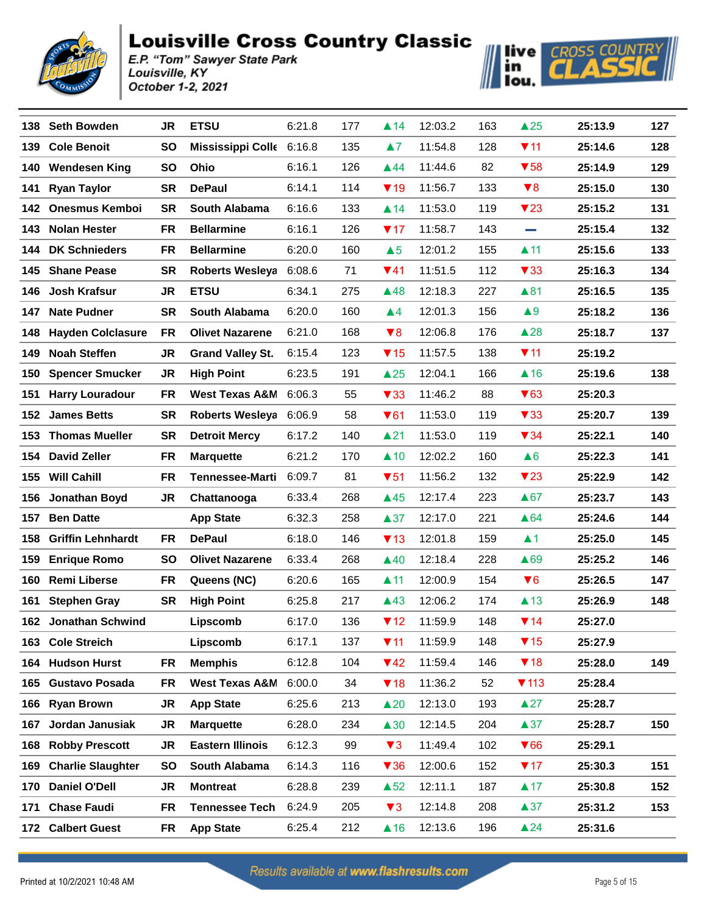



|     | 138 Seth Bowden          | JR        | <b>ETSU</b>               | 6:21.8 | 177 | $\blacktriangle$ 14     | 12:03.2 | 163 | $\triangle 25$          | 25:13.9 | 127 |
|-----|--------------------------|-----------|---------------------------|--------|-----|-------------------------|---------|-----|-------------------------|---------|-----|
| 139 | <b>Cole Benoit</b>       | <b>SO</b> | Mississippi Colle 6:16.8  |        | 135 | $\blacktriangle$ 7      | 11:54.8 | 128 | $\P$ 11                 | 25:14.6 | 128 |
|     | 140 Wendesen King        | <b>SO</b> | Ohio                      | 6:16.1 | 126 | $\triangle$ 44          | 11:44.6 | 82  | $\blacktriangledown$ 58 | 25:14.9 | 129 |
| 141 | <b>Ryan Taylor</b>       | <b>SR</b> | <b>DePaul</b>             | 6:14.1 | 114 | $\P$ 19                 | 11:56.7 | 133 | $\blacktriangledown 8$  | 25:15.0 | 130 |
|     | 142 Onesmus Kemboi       | <b>SR</b> | South Alabama             | 6:16.6 | 133 | $\blacktriangle$ 14     | 11:53.0 | 119 | $\blacktriangledown$ 23 | 25:15.2 | 131 |
| 143 | <b>Nolan Hester</b>      | <b>FR</b> | <b>Bellarmine</b>         | 6:16.1 | 126 | 717                     | 11:58.7 | 143 | <b>College</b>          | 25:15.4 | 132 |
| 144 | <b>DK Schnieders</b>     | <b>FR</b> | <b>Bellarmine</b>         | 6:20.0 | 160 | $\triangle 5$           | 12:01.2 | 155 | $\blacktriangle$ 11     | 25:15.6 | 133 |
| 145 | <b>Shane Pease</b>       | <b>SR</b> | <b>Roberts Wesleya</b>    | 6:08.6 | 71  | $\Psi$ 41               | 11:51.5 | 112 | $\blacktriangledown$ 33 | 25:16.3 | 134 |
|     | 146 Josh Krafsur         | <b>JR</b> | <b>ETSU</b>               | 6:34.1 | 275 | $\triangle$ 48          | 12:18.3 | 227 | ▲81                     | 25:16.5 | 135 |
| 147 | <b>Nate Pudner</b>       | <b>SR</b> | South Alabama             | 6:20.0 | 160 | $\blacktriangle 4$      | 12:01.3 | 156 | $\triangle 9$           | 25:18.2 | 136 |
| 148 | <b>Hayden Colclasure</b> | FR        | <b>Olivet Nazarene</b>    | 6:21.0 | 168 | $\blacktriangledown 8$  | 12:06.8 | 176 | $\triangle$ 28          | 25:18.7 | 137 |
| 149 | <b>Noah Steffen</b>      | JR        | <b>Grand Valley St.</b>   | 6:15.4 | 123 | $\P$ 15                 | 11:57.5 | 138 | 711                     | 25:19.2 |     |
| 150 | <b>Spencer Smucker</b>   | JR        | <b>High Point</b>         | 6:23.5 | 191 | $\triangle 25$          | 12:04.1 | 166 | $\triangle$ 16          | 25:19.6 | 138 |
| 151 | <b>Harry Louradour</b>   | <b>FR</b> | <b>West Texas A&amp;M</b> | 6:06.3 | 55  | $\blacktriangledown$ 33 | 11:46.2 | 88  | $\blacktriangledown 63$ | 25:20.3 |     |
|     | 152 James Betts          | SR        | <b>Roberts Wesleya</b>    | 6:06.9 | 58  | $\blacktriangledown 61$ | 11:53.0 | 119 | $\blacktriangledown$ 33 | 25:20.7 | 139 |
| 153 | <b>Thomas Mueller</b>    | <b>SR</b> | <b>Detroit Mercy</b>      | 6:17.2 | 140 | $\blacktriangle$ 21     | 11:53.0 | 119 | $\blacktriangledown 34$ | 25:22.1 | 140 |
|     | 154 David Zeller         | FR        | <b>Marquette</b>          | 6:21.2 | 170 | $\triangle$ 10          | 12:02.2 | 160 | $\triangle 6$           | 25:22.3 | 141 |
| 155 | <b>Will Cahill</b>       | <b>FR</b> | <b>Tennessee-Marti</b>    | 6:09.7 | 81  | $\blacktriangledown 51$ | 11:56.2 | 132 | $\blacktriangledown$ 23 | 25:22.9 | 142 |
|     | 156 Jonathan Boyd        | JR        | Chattanooga               | 6:33.4 | 268 | $\triangle$ 45          | 12:17.4 | 223 | $\triangle 67$          | 25:23.7 | 143 |
| 157 | <b>Ben Datte</b>         |           | <b>App State</b>          | 6:32.3 | 258 | $\triangle 37$          | 12:17.0 | 221 | $\triangle 64$          | 25:24.6 | 144 |
|     | 158 Griffin Lehnhardt    | FR        | <b>DePaul</b>             | 6:18.0 | 146 | $\P$ 13                 | 12:01.8 | 159 | $\blacktriangle$ 1      | 25:25.0 | 145 |
| 159 | <b>Enrique Romo</b>      | <b>SO</b> | <b>Olivet Nazarene</b>    | 6:33.4 | 268 | $\triangle$ 40          | 12:18.4 | 228 | ▲69                     | 25:25.2 | 146 |
|     | 160 Remi Liberse         | FR        | Queens (NC)               | 6:20.6 | 165 | $\blacktriangle$ 11     | 12:00.9 | 154 | $\blacktriangledown 6$  | 25:26.5 | 147 |
| 161 | <b>Stephen Gray</b>      | <b>SR</b> | <b>High Point</b>         | 6:25.8 | 217 | $\triangle$ 43          | 12:06.2 | 174 | $\triangle$ 13          | 25:26.9 | 148 |
|     | 162 Jonathan Schwind     |           | Lipscomb                  | 6:17.0 | 136 | $\P$ 12                 | 11:59.9 | 148 | $\P$ 14                 | 25:27.0 |     |
|     | 163 Cole Streich         |           | Lipscomb                  | 6:17.1 | 137 | $\P$ 11                 | 11:59.9 | 148 | $\P$ 15                 | 25:27.9 |     |
|     | 164 Hudson Hurst         | FR        | <b>Memphis</b>            | 6:12.8 | 104 | $\P$ 42                 | 11:59.4 | 146 | $\P$ 18                 | 25:28.0 | 149 |
|     | 165 Gustavo Posada       | FR        | <b>West Texas A&amp;M</b> | 6:00.0 | 34  | $\P$ 18                 | 11:36.2 | 52  | $\P$ 113                | 25:28.4 |     |
|     | 166 Ryan Brown           | JR        | <b>App State</b>          | 6:25.6 | 213 | $\triangle 20$          | 12:13.0 | 193 | $\triangle 27$          | 25:28.7 |     |
| 167 | Jordan Janusiak          | JR        | <b>Marquette</b>          | 6:28.0 | 234 | $\triangle 30$          | 12:14.5 | 204 | $\triangle 37$          | 25:28.7 | 150 |
| 168 | <b>Robby Prescott</b>    | JR        | <b>Eastern Illinois</b>   | 6:12.3 | 99  | $\blacktriangledown$ 3  | 11:49.4 | 102 | $\blacktriangledown 66$ | 25:29.1 |     |
| 169 | <b>Charlie Slaughter</b> | SO        | South Alabama             | 6:14.3 | 116 | $\blacktriangledown$ 36 | 12:00.6 | 152 | $\P$ 17                 | 25:30.3 | 151 |
| 170 | <b>Daniel O'Dell</b>     | JR        | <b>Montreat</b>           | 6:28.8 | 239 | $\triangle$ 52          | 12:11.1 | 187 | $\blacktriangle$ 17     | 25:30.8 | 152 |
| 171 | <b>Chase Faudi</b>       | FR        | <b>Tennessee Tech</b>     | 6:24.9 | 205 | $\blacktriangledown$ 3  | 12:14.8 | 208 | $\triangle 37$          | 25:31.2 | 153 |
| 172 | <b>Calbert Guest</b>     | FR        | <b>App State</b>          | 6:25.4 | 212 | $\triangle$ 16          | 12:13.6 | 196 | $\triangle$ 24          | 25:31.6 |     |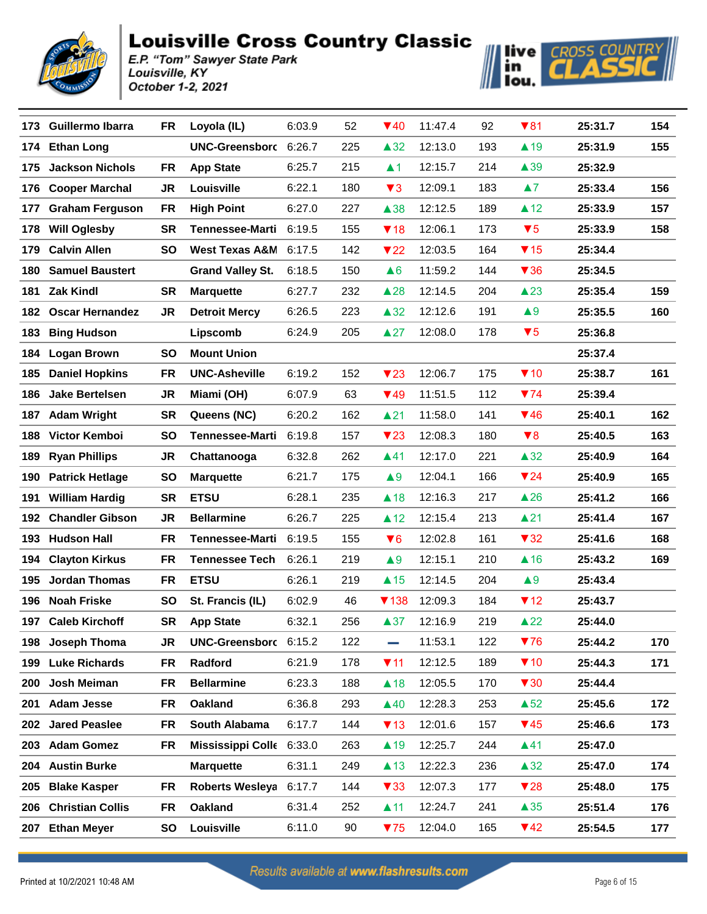



| 173 | <b>Guillermo Ibarra</b> | FR        | Loyola (IL)               | 6:03.9 | 52  | $\Psi$ 40               | 11:47.4 | 92  | $\blacktriangledown 81$ | 25:31.7 | 154 |
|-----|-------------------------|-----------|---------------------------|--------|-----|-------------------------|---------|-----|-------------------------|---------|-----|
| 174 | <b>Ethan Long</b>       |           | <b>UNC-Greensborc</b>     | 6:26.7 | 225 | $\triangle 32$          | 12:13.0 | 193 | $\blacktriangle$ 19     | 25:31.9 | 155 |
| 175 | <b>Jackson Nichols</b>  | <b>FR</b> | <b>App State</b>          | 6:25.7 | 215 | $\blacktriangle$ 1      | 12:15.7 | 214 | $\triangle$ 39          | 25:32.9 |     |
| 176 | <b>Cooper Marchal</b>   | <b>JR</b> | Louisville                | 6:22.1 | 180 | $\blacktriangledown$ 3  | 12:09.1 | 183 | $\blacktriangle 7$      | 25:33.4 | 156 |
| 177 | <b>Graham Ferguson</b>  | FR        | <b>High Point</b>         | 6:27.0 | 227 | $\triangle$ 38          | 12:12.5 | 189 | $\triangle$ 12          | 25:33.9 | 157 |
| 178 | <b>Will Oglesby</b>     | <b>SR</b> | <b>Tennessee-Marti</b>    | 6:19.5 | 155 | $\P$ 18                 | 12:06.1 | 173 | $\blacktriangledown 5$  | 25:33.9 | 158 |
| 179 | <b>Calvin Allen</b>     | SO        | <b>West Texas A&amp;M</b> | 6:17.5 | 142 | $\blacktriangledown$ 22 | 12:03.5 | 164 | $\P$ 15                 | 25:34.4 |     |
| 180 | <b>Samuel Baustert</b>  |           | <b>Grand Valley St.</b>   | 6:18.5 | 150 | $\triangle 6$           | 11:59.2 | 144 | $\blacktriangledown$ 36 | 25:34.5 |     |
| 181 | <b>Zak Kindl</b>        | <b>SR</b> | <b>Marquette</b>          | 6:27.7 | 232 | $\triangle 28$          | 12:14.5 | 204 | $\triangle$ 23          | 25:35.4 | 159 |
| 182 | <b>Oscar Hernandez</b>  | JR        | <b>Detroit Mercy</b>      | 6:26.5 | 223 | $\triangle 32$          | 12:12.6 | 191 | $\blacktriangle 9$      | 25:35.5 | 160 |
| 183 | <b>Bing Hudson</b>      |           | Lipscomb                  | 6:24.9 | 205 | $\triangle 27$          | 12:08.0 | 178 | $\blacktriangledown 5$  | 25:36.8 |     |
| 184 | <b>Logan Brown</b>      | SO        | <b>Mount Union</b>        |        |     |                         |         |     |                         | 25:37.4 |     |
| 185 | <b>Daniel Hopkins</b>   | FR        | <b>UNC-Asheville</b>      | 6:19.2 | 152 | $\blacktriangledown$ 23 | 12:06.7 | 175 | $\P$ 10                 | 25:38.7 | 161 |
| 186 | <b>Jake Bertelsen</b>   | JR        | Miami (OH)                | 6:07.9 | 63  | $\P$ 49                 | 11:51.5 | 112 | $\P$ 74                 | 25:39.4 |     |
| 187 | <b>Adam Wright</b>      | <b>SR</b> | Queens (NC)               | 6:20.2 | 162 | $\blacktriangle$ 21     | 11:58.0 | 141 | $\P$ 46                 | 25:40.1 | 162 |
| 188 | Victor Kemboi           | <b>SO</b> | <b>Tennessee-Marti</b>    | 6:19.8 | 157 | $\blacktriangledown$ 23 | 12:08.3 | 180 | $\blacktriangledown 8$  | 25:40.5 | 163 |
| 189 | <b>Ryan Phillips</b>    | JR        | Chattanooga               | 6:32.8 | 262 | $\blacktriangle$ 41     | 12:17.0 | 221 | $\triangle 32$          | 25:40.9 | 164 |
| 190 | <b>Patrick Hetlage</b>  | SO        | <b>Marquette</b>          | 6:21.7 | 175 | $\blacktriangle 9$      | 12:04.1 | 166 | $\blacktriangledown$ 24 | 25:40.9 | 165 |
| 191 | <b>William Hardig</b>   | SR        | <b>ETSU</b>               | 6:28.1 | 235 | $\triangle$ 18          | 12:16.3 | 217 | $\triangle 26$          | 25:41.2 | 166 |
|     | 192 Chandler Gibson     | JR        | <b>Bellarmine</b>         | 6:26.7 | 225 | $\triangle$ 12          | 12:15.4 | 213 | $\triangle$ 21          | 25:41.4 | 167 |
|     | 193 Hudson Hall         | FR        | <b>Tennessee-Marti</b>    | 6:19.5 | 155 | $\Psi$ 6                | 12:02.8 | 161 | $\blacktriangledown$ 32 | 25:41.6 | 168 |
| 194 | <b>Clayton Kirkus</b>   | <b>FR</b> | <b>Tennessee Tech</b>     | 6:26.1 | 219 | $\blacktriangle 9$      | 12:15.1 | 210 | $\triangle$ 16          | 25:43.2 | 169 |
| 195 | <b>Jordan Thomas</b>    | FR        | <b>ETSU</b>               | 6:26.1 | 219 | $\triangle$ 15          | 12:14.5 | 204 | $\blacktriangle 9$      | 25:43.4 |     |
| 196 | <b>Noah Friske</b>      | SO        | St. Francis (IL)          | 6:02.9 | 46  | $\P$ 138                | 12:09.3 | 184 | $\P$ 12                 | 25:43.7 |     |
|     | 197 Caleb Kirchoff      | <b>SR</b> | <b>App State</b>          | 6:32.1 | 256 | $\triangle 37$          | 12:16.9 | 219 | $\triangle$ 22          | 25:44.0 |     |
| 198 | Joseph Thoma            | JR        | UNC-Greensborc 6:15.2     |        | 122 | <b>College</b>          | 11:53.1 | 122 | 76                      | 25:44.2 | 170 |
| 199 | <b>Luke Richards</b>    | FR        | Radford                   | 6:21.9 | 178 | $\P$ 11                 | 12:12.5 | 189 | $\P$ 10                 | 25:44.3 | 171 |
| 200 | Josh Meiman             | FR        | <b>Bellarmine</b>         | 6:23.3 | 188 | $\triangle$ 18          | 12:05.5 | 170 | $\blacktriangledown$ 30 | 25:44.4 |     |
| 201 | <b>Adam Jesse</b>       | FR        | <b>Oakland</b>            | 6:36.8 | 293 | $\triangle$ 40          | 12:28.3 | 253 | $\triangle$ 52          | 25:45.6 | 172 |
| 202 | <b>Jared Peaslee</b>    | FR        | South Alabama             | 6:17.7 | 144 | $\P$ 13                 | 12:01.6 | 157 | $\P$ 45                 | 25:46.6 | 173 |
| 203 | <b>Adam Gomez</b>       | FR        | Mississippi Colle 6:33.0  |        | 263 | $\blacktriangle$ 19     | 12:25.7 | 244 | $\blacktriangle$ 41     | 25:47.0 |     |
| 204 | <b>Austin Burke</b>     |           | <b>Marquette</b>          | 6:31.1 | 249 | $\triangle$ 13          | 12:22.3 | 236 | $\triangle 32$          | 25:47.0 | 174 |
| 205 | <b>Blake Kasper</b>     | FR        | Roberts Wesleya           | 6:17.7 | 144 | $\blacktriangledown$ 33 | 12:07.3 | 177 | $\blacktriangledown$ 28 | 25:48.0 | 175 |
| 206 | <b>Christian Collis</b> | FR        | Oakland                   | 6:31.4 | 252 | $\blacktriangle$ 11     | 12:24.7 | 241 | $\triangle$ 35          | 25:51.4 | 176 |
| 207 | <b>Ethan Meyer</b>      | SO        | Louisville                | 6:11.0 | 90  | 75                      | 12:04.0 | 165 | $\P$ 42                 | 25:54.5 | 177 |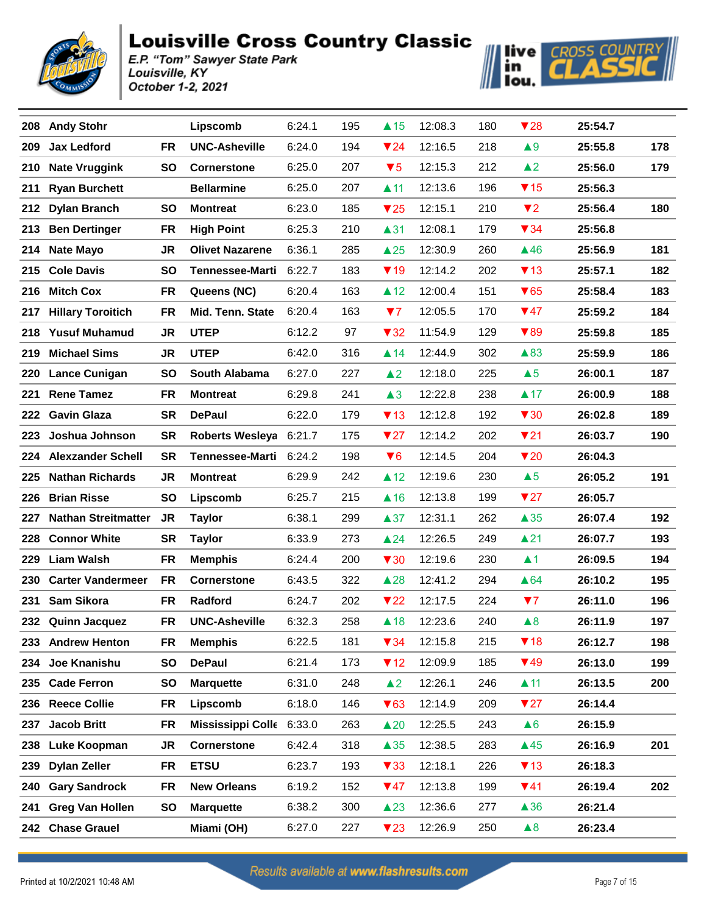



| 208 | <b>Andy Stohr</b>          |           | Lipscomb                 | 6:24.1 | 195 | $\blacktriangle$ 15     | 12:08.3 | 180 | $\blacktriangledown$ 28 | 25:54.7 |     |
|-----|----------------------------|-----------|--------------------------|--------|-----|-------------------------|---------|-----|-------------------------|---------|-----|
| 209 | <b>Jax Ledford</b>         | <b>FR</b> | <b>UNC-Asheville</b>     | 6:24.0 | 194 | $\blacktriangledown$ 24 | 12:16.5 | 218 | $\triangle 9$           | 25:55.8 | 178 |
| 210 | <b>Nate Vruggink</b>       | <b>SO</b> | <b>Cornerstone</b>       | 6:25.0 | 207 | $\blacktriangledown 5$  | 12:15.3 | 212 | $\triangle$ 2           | 25:56.0 | 179 |
| 211 | <b>Ryan Burchett</b>       |           | <b>Bellarmine</b>        | 6:25.0 | 207 | $\blacktriangle$ 11     | 12:13.6 | 196 | $\P$ 15                 | 25:56.3 |     |
| 212 | <b>Dylan Branch</b>        | <b>SO</b> | <b>Montreat</b>          | 6:23.0 | 185 | $\blacktriangledown$ 25 | 12:15.1 | 210 | $\P$                    | 25:56.4 | 180 |
| 213 | <b>Ben Dertinger</b>       | FR        | <b>High Point</b>        | 6:25.3 | 210 | $\blacktriangle$ 31     | 12:08.1 | 179 | $\blacktriangledown 34$ | 25:56.8 |     |
| 214 | <b>Nate Mayo</b>           | <b>JR</b> | <b>Olivet Nazarene</b>   | 6:36.1 | 285 | $\triangle 25$          | 12:30.9 | 260 | $\triangle$ 46          | 25:56.9 | 181 |
| 215 | <b>Cole Davis</b>          | <b>SO</b> | <b>Tennessee-Marti</b>   | 6:22.7 | 183 | $\P$ 19                 | 12:14.2 | 202 | $\P$ 13                 | 25:57.1 | 182 |
| 216 | <b>Mitch Cox</b>           | <b>FR</b> | Queens (NC)              | 6:20.4 | 163 | $\triangle$ 12          | 12:00.4 | 151 | $\blacktriangledown 65$ | 25:58.4 | 183 |
| 217 | <b>Hillary Toroitich</b>   | <b>FR</b> | <b>Mid. Tenn. State</b>  | 6:20.4 | 163 | $\blacktriangledown$    | 12:05.5 | 170 | $\P$ 47                 | 25:59.2 | 184 |
|     | 218 Yusuf Muhamud          | <b>JR</b> | <b>UTEP</b>              | 6:12.2 | 97  | $\blacktriangledown$ 32 | 11:54.9 | 129 | $\blacktriangledown 89$ | 25:59.8 | 185 |
| 219 | <b>Michael Sims</b>        | <b>JR</b> | <b>UTEP</b>              | 6:42.0 | 316 | $\blacktriangle$ 14     | 12:44.9 | 302 | $\triangle$ 83          | 25:59.9 | 186 |
|     | 220 Lance Cunigan          | <b>SO</b> | South Alabama            | 6:27.0 | 227 | $\triangle$ 2           | 12:18.0 | 225 | $\triangle 5$           | 26:00.1 | 187 |
| 221 | <b>Rene Tamez</b>          | FR        | <b>Montreat</b>          | 6:29.8 | 241 | $\triangle 3$           | 12:22.8 | 238 | $\triangle$ 17          | 26:00.9 | 188 |
| 222 | <b>Gavin Glaza</b>         | SR        | <b>DePaul</b>            | 6:22.0 | 179 | $\P$ 13                 | 12:12.8 | 192 | $\blacktriangledown$ 30 | 26:02.8 | 189 |
| 223 | Joshua Johnson             | <b>SR</b> | Roberts Wesleya          | 6:21.7 | 175 | $\blacktriangledown$ 27 | 12:14.2 | 202 | $\P$ 21                 | 26:03.7 | 190 |
|     | 224 Alexzander Schell      | <b>SR</b> | <b>Tennessee-Marti</b>   | 6:24.2 | 198 | $\blacktriangledown 6$  | 12:14.5 | 204 | $\blacktriangledown$ 20 | 26:04.3 |     |
| 225 | <b>Nathan Richards</b>     | <b>JR</b> | <b>Montreat</b>          | 6:29.9 | 242 | $\triangle$ 12          | 12:19.6 | 230 | $\triangle 5$           | 26:05.2 | 191 |
| 226 | <b>Brian Risse</b>         | <b>SO</b> | Lipscomb                 | 6:25.7 | 215 | $\triangle$ 16          | 12:13.8 | 199 | $\blacktriangledown$ 27 | 26:05.7 |     |
| 227 | <b>Nathan Streitmatter</b> | <b>JR</b> | <b>Taylor</b>            | 6:38.1 | 299 | $\triangle 37$          | 12:31.1 | 262 | $\triangle 35$          | 26:07.4 | 192 |
| 228 | <b>Connor White</b>        | <b>SR</b> | <b>Taylor</b>            | 6:33.9 | 273 | $\triangle 24$          | 12:26.5 | 249 | $\blacktriangle$ 21     | 26:07.7 | 193 |
| 229 | <b>Liam Walsh</b>          | FR.       | <b>Memphis</b>           | 6:24.4 | 200 | $\blacktriangledown$ 30 | 12:19.6 | 230 | $\blacktriangle$ 1      | 26:09.5 | 194 |
| 230 | <b>Carter Vandermeer</b>   | FR        | <b>Cornerstone</b>       | 6:43.5 | 322 | $\triangle 28$          | 12:41.2 | 294 | $\triangle 64$          | 26:10.2 | 195 |
| 231 | Sam Sikora                 | FR.       | Radford                  | 6:24.7 | 202 | $\blacktriangledown$ 22 | 12:17.5 | 224 | 77                      | 26:11.0 | 196 |
|     | 232 Quinn Jacquez          | <b>FR</b> | <b>UNC-Asheville</b>     | 6:32.3 | 258 | $\triangle$ 18          | 12:23.6 | 240 | $\triangle 8$           | 26:11.9 | 197 |
| 233 | <b>Andrew Henton</b>       | <b>FR</b> | <b>Memphis</b>           | 6:22.5 | 181 | $\blacktriangledown 34$ | 12:15.8 | 215 | $\P$ 18                 | 26:12.7 | 198 |
| 234 | Joe Knanishu               | SO        | <b>DePaul</b>            | 6:21.4 | 173 | $\P$ 12                 | 12:09.9 | 185 | $\P$ 49                 | 26:13.0 | 199 |
| 235 | <b>Cade Ferron</b>         | SO        | <b>Marquette</b>         | 6:31.0 | 248 | $\triangle$ 2           | 12:26.1 | 246 | $\blacktriangle$ 11     | 26:13.5 | 200 |
| 236 | <b>Reece Collie</b>        | FR        | Lipscomb                 | 6:18.0 | 146 | $\blacktriangledown 63$ | 12:14.9 | 209 | $\blacktriangledown$ 27 | 26:14.4 |     |
| 237 | <b>Jacob Britt</b>         | FR        | Mississippi Colle 6:33.0 |        | 263 | $\triangle 20$          | 12:25.5 | 243 | $\triangle 6$           | 26:15.9 |     |
| 238 | Luke Koopman               | JR        | <b>Cornerstone</b>       | 6:42.4 | 318 | $\triangle 35$          | 12:38.5 | 283 | $\triangle$ 45          | 26:16.9 | 201 |
| 239 | <b>Dylan Zeller</b>        | <b>FR</b> | <b>ETSU</b>              | 6:23.7 | 193 | $\blacktriangledown$ 33 | 12:18.1 | 226 | $\P$ 13                 | 26:18.3 |     |
| 240 | <b>Gary Sandrock</b>       | FR        | <b>New Orleans</b>       | 6:19.2 | 152 | $\Psi$ 47               | 12:13.8 | 199 | $\P$ 41                 | 26:19.4 | 202 |
| 241 | <b>Greg Van Hollen</b>     | <b>SO</b> | <b>Marquette</b>         | 6:38.2 | 300 | $\triangle$ 23          | 12:36.6 | 277 | $\triangle$ 36          | 26:21.4 |     |
|     | 242 Chase Grauel           |           | Miami (OH)               | 6:27.0 | 227 | $\blacktriangledown$ 23 | 12:26.9 | 250 | $\triangle 8$           | 26:23.4 |     |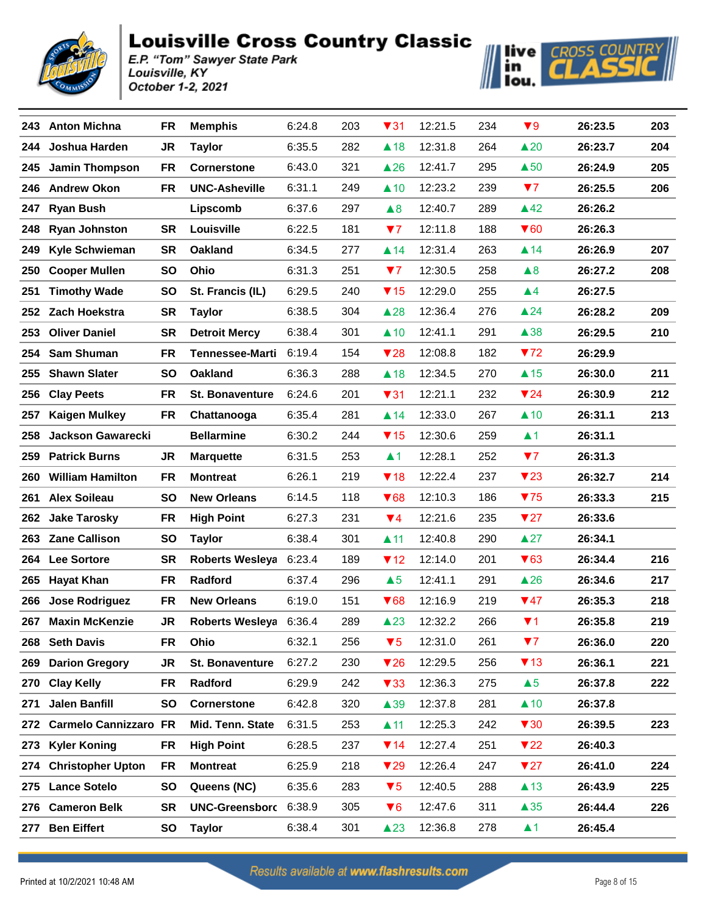



| 243. | <b>Anton Michna</b>          | <b>FR</b> | <b>Memphis</b>         | 6:24.8 | 203 | $\blacktriangledown$ 31 | 12:21.5 | 234 | $\blacktriangledown 9$  | 26:23.5 | 203 |
|------|------------------------------|-----------|------------------------|--------|-----|-------------------------|---------|-----|-------------------------|---------|-----|
| 244  | Joshua Harden                | JR        | <b>Taylor</b>          | 6:35.5 | 282 | $\triangle$ 18          | 12:31.8 | 264 | $\triangle 20$          | 26:23.7 | 204 |
| 245. | <b>Jamin Thompson</b>        | FR        | <b>Cornerstone</b>     | 6:43.0 | 321 | $\triangle$ 26          | 12:41.7 | 295 | $\triangle$ 50          | 26:24.9 | 205 |
| 246  | <b>Andrew Okon</b>           | <b>FR</b> | <b>UNC-Asheville</b>   | 6:31.1 | 249 | $\triangle$ 10          | 12:23.2 | 239 | 77                      | 26:25.5 | 206 |
| 247  | <b>Ryan Bush</b>             |           | Lipscomb               | 6:37.6 | 297 | $\triangle 8$           | 12:40.7 | 289 | $\triangle$ 42          | 26:26.2 |     |
| 248  | <b>Ryan Johnston</b>         | <b>SR</b> | Louisville             | 6:22.5 | 181 | 77                      | 12:11.8 | 188 | $\blacktriangledown 60$ | 26:26.3 |     |
| 249  | <b>Kyle Schwieman</b>        | <b>SR</b> | Oakland                | 6:34.5 | 277 | $\blacktriangle$ 14     | 12:31.4 | 263 | $\triangle$ 14          | 26:26.9 | 207 |
| 250  | <b>Cooper Mullen</b>         | <b>SO</b> | <b>Ohio</b>            | 6:31.3 | 251 | 77                      | 12:30.5 | 258 | $\triangle 8$           | 26:27.2 | 208 |
| 251  | <b>Timothy Wade</b>          | <b>SO</b> | St. Francis (IL)       | 6:29.5 | 240 | $\P$ 15                 | 12:29.0 | 255 | $\blacktriangle 4$      | 26:27.5 |     |
|      | 252 Zach Hoekstra            | <b>SR</b> | <b>Taylor</b>          | 6:38.5 | 304 | $\triangle 28$          | 12:36.4 | 276 | $\triangle$ 24          | 26:28.2 | 209 |
| 253  | <b>Oliver Daniel</b>         | <b>SR</b> | <b>Detroit Mercy</b>   | 6:38.4 | 301 | $\triangle$ 10          | 12:41.1 | 291 | $\triangle$ 38          | 26:29.5 | 210 |
| 254  | <b>Sam Shuman</b>            | <b>FR</b> | <b>Tennessee-Marti</b> | 6:19.4 | 154 | $\blacktriangledown$ 28 | 12:08.8 | 182 | 772                     | 26:29.9 |     |
|      | 255 Shawn Slater             | <b>SO</b> | <b>Oakland</b>         | 6:36.3 | 288 | $\triangle$ 18          | 12:34.5 | 270 | $\triangle$ 15          | 26:30.0 | 211 |
| 256  | <b>Clay Peets</b>            | <b>FR</b> | <b>St. Bonaventure</b> | 6:24.6 | 201 | $\blacktriangledown$ 31 | 12:21.1 | 232 | $\blacktriangledown$ 24 | 26:30.9 | 212 |
| 257  | <b>Kaigen Mulkey</b>         | <b>FR</b> | Chattanooga            | 6:35.4 | 281 | $\blacktriangle$ 14     | 12:33.0 | 267 | $\triangle$ 10          | 26:31.1 | 213 |
| 258  | <b>Jackson Gawarecki</b>     |           | <b>Bellarmine</b>      | 6:30.2 | 244 | $\P$ 15                 | 12:30.6 | 259 | $\blacktriangle$ 1      | 26:31.1 |     |
| 259  | <b>Patrick Burns</b>         | <b>JR</b> | <b>Marquette</b>       | 6:31.5 | 253 | $\blacktriangle$ 1      | 12:28.1 | 252 | 77                      | 26:31.3 |     |
| 260  | <b>William Hamilton</b>      | <b>FR</b> | <b>Montreat</b>        | 6:26.1 | 219 | $\P$ 18                 | 12:22.4 | 237 | $\blacktriangledown$ 23 | 26:32.7 | 214 |
| 261  | <b>Alex Soileau</b>          | <b>SO</b> | <b>New Orleans</b>     | 6:14.5 | 118 | $\blacktriangledown 68$ | 12:10.3 | 186 | 75                      | 26:33.3 | 215 |
| 262  | <b>Jake Tarosky</b>          | FR        | <b>High Point</b>      | 6:27.3 | 231 | $\blacktriangledown$ 4  | 12:21.6 | 235 | $\blacktriangledown 27$ | 26:33.6 |     |
| 263  | <b>Zane Callison</b>         | SO        | <b>Taylor</b>          | 6:38.4 | 301 | $\blacktriangle$ 11     | 12:40.8 | 290 | $\triangle 27$          | 26:34.1 |     |
| 264  | <b>Lee Sortore</b>           | <b>SR</b> | Roberts Wesleya        | 6:23.4 | 189 | $\P$ 12                 | 12:14.0 | 201 | $\blacktriangledown 63$ | 26:34.4 | 216 |
| 265  | <b>Hayat Khan</b>            | <b>FR</b> | Radford                | 6:37.4 | 296 | $\triangle 5$           | 12:41.1 | 291 | $\triangle 26$          | 26:34.6 | 217 |
| 266  | <b>Jose Rodriguez</b>        | <b>FR</b> | <b>New Orleans</b>     | 6:19.0 | 151 | $\blacktriangledown$ 68 | 12:16.9 | 219 | $\Psi$ 47               | 26:35.3 | 218 |
| 267  | <b>Maxin McKenzie</b>        | JR        | Roberts Wesleya 6:36.4 |        | 289 | $\triangle$ 23          | 12:32.2 | 266 | $\P$ 1                  | 26:35.8 | 219 |
| 268  | <b>Seth Davis</b>            | <b>FR</b> | Ohio                   | 6:32.1 | 256 | $\blacktriangledown 5$  | 12:31.0 | 261 | 77                      | 26:36.0 | 220 |
| 269  | <b>Darion Gregory</b>        | JR        | <b>St. Bonaventure</b> | 6:27.2 | 230 | $\blacktriangledown$ 26 | 12:29.5 | 256 | $\P$ 13                 | 26:36.1 | 221 |
| 270  | <b>Clay Kelly</b>            | FR        | Radford                | 6:29.9 | 242 | $\blacktriangledown$ 33 | 12:36.3 | 275 | $\triangle 5$           | 26:37.8 | 222 |
| 271  | <b>Jalen Banfill</b>         | <b>SO</b> | <b>Cornerstone</b>     | 6:42.8 | 320 | $\triangle$ 39          | 12:37.8 | 281 | $\triangle$ 10          | 26:37.8 |     |
| 272  | <b>Carmelo Cannizzaro FR</b> |           | Mid. Tenn. State       | 6:31.5 | 253 | $\blacktriangle$ 11     | 12:25.3 | 242 | $\blacktriangledown$ 30 | 26:39.5 | 223 |
| 273  | <b>Kyler Koning</b>          | FR        | <b>High Point</b>      | 6:28.5 | 237 | $\P$ 14                 | 12:27.4 | 251 | $\blacktriangledown$ 22 | 26:40.3 |     |
| 274  | <b>Christopher Upton</b>     | <b>FR</b> | <b>Montreat</b>        | 6:25.9 | 218 | $\blacktriangledown$ 29 | 12:26.4 | 247 | $\blacktriangledown$ 27 | 26:41.0 | 224 |
| 275  | <b>Lance Sotelo</b>          | <b>SO</b> | Queens (NC)            | 6:35.6 | 283 | $\blacktriangledown 5$  | 12:40.5 | 288 | $\triangle$ 13          | 26:43.9 | 225 |
| 276  | <b>Cameron Belk</b>          | <b>SR</b> | UNC-Greensborc 6:38.9  |        | 305 | $\blacktriangledown 6$  | 12:47.6 | 311 | $\triangle 35$          | 26:44.4 | 226 |
| 277  | <b>Ben Eiffert</b>           | SO        | <b>Taylor</b>          | 6:38.4 | 301 | $\triangle$ 23          | 12:36.8 | 278 | $\blacktriangle$ 1      | 26:45.4 |     |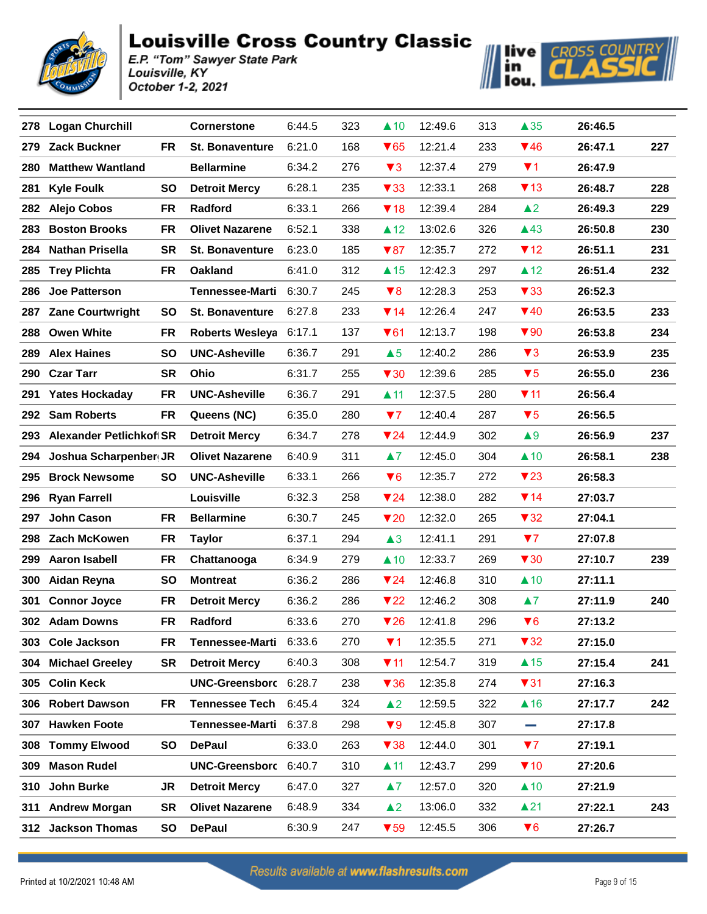



| 278 | <b>Logan Churchill</b>               | <b>Cornerstone</b>     | 6:44.5 | 323 | $\triangle$ 10          | 12:49.6 | 313 | $\triangle 35$          | 26:46.5 |     |
|-----|--------------------------------------|------------------------|--------|-----|-------------------------|---------|-----|-------------------------|---------|-----|
| 279 | <b>Zack Buckner</b><br><b>FR</b>     | <b>St. Bonaventure</b> | 6:21.0 | 168 | $\blacktriangledown 65$ | 12:21.4 | 233 | $\P$ 46                 | 26:47.1 | 227 |
| 280 | <b>Matthew Wantland</b>              | <b>Bellarmine</b>      | 6:34.2 | 276 | $\blacktriangledown$ 3  | 12:37.4 | 279 | $\P$ 1                  | 26:47.9 |     |
| 281 | <b>Kyle Foulk</b><br><b>SO</b>       | <b>Detroit Mercy</b>   | 6:28.1 | 235 | $\blacktriangledown$ 33 | 12:33.1 | 268 | $\P$ 13                 | 26:48.7 | 228 |
| 282 | <b>Alejo Cobos</b><br><b>FR</b>      | Radford                | 6:33.1 | 266 | $\P$ 18                 | 12:39.4 | 284 | $\triangle$ 2           | 26:49.3 | 229 |
| 283 | <b>Boston Brooks</b><br><b>FR</b>    | <b>Olivet Nazarene</b> | 6:52.1 | 338 | $\triangle$ 12          | 13:02.6 | 326 | $\triangle$ 43          | 26:50.8 | 230 |
| 284 | <b>Nathan Prisella</b><br><b>SR</b>  | <b>St. Bonaventure</b> | 6:23.0 | 185 | $\blacktriangledown 87$ | 12:35.7 | 272 | $\P$ 12                 | 26:51.1 | 231 |
| 285 | <b>Trey Plichta</b><br><b>FR</b>     | <b>Oakland</b>         | 6:41.0 | 312 | $\triangle$ 15          | 12:42.3 | 297 | $\triangle$ 12          | 26:51.4 | 232 |
| 286 | <b>Joe Patterson</b>                 | <b>Tennessee-Marti</b> | 6:30.7 | 245 | $\blacktriangledown 8$  | 12:28.3 | 253 | $\blacktriangledown$ 33 | 26:52.3 |     |
| 287 | <b>Zane Courtwright</b><br><b>SO</b> | <b>St. Bonaventure</b> | 6:27.8 | 233 | $\P$ 14                 | 12:26.4 | 247 | $\P$ 40                 | 26:53.5 | 233 |
| 288 | <b>Owen White</b><br><b>FR</b>       | <b>Roberts Wesleya</b> | 6:17.1 | 137 | $\blacktriangledown 61$ | 12:13.7 | 198 | $\blacktriangledown 90$ | 26:53.8 | 234 |
| 289 | <b>Alex Haines</b><br><b>SO</b>      | <b>UNC-Asheville</b>   | 6:36.7 | 291 | $\triangle 5$           | 12:40.2 | 286 | $\blacktriangledown$ 3  | 26:53.9 | 235 |
| 290 | <b>Czar Tarr</b><br><b>SR</b>        | Ohio                   | 6:31.7 | 255 | $\blacktriangledown$ 30 | 12:39.6 | 285 | $\blacktriangledown 5$  | 26:55.0 | 236 |
| 291 | <b>Yates Hockaday</b><br>FR          | <b>UNC-Asheville</b>   | 6:36.7 | 291 | $\blacktriangle$ 11     | 12:37.5 | 280 | 711                     | 26:56.4 |     |
| 292 | <b>Sam Roberts</b><br><b>FR</b>      | Queens (NC)            | 6:35.0 | 280 | 77                      | 12:40.4 | 287 | $\blacktriangledown 5$  | 26:56.5 |     |
| 293 | <b>Alexander Petlichkoff SR</b>      | <b>Detroit Mercy</b>   | 6:34.7 | 278 | $\blacktriangledown$ 24 | 12:44.9 | 302 | $\blacktriangle 9$      | 26:56.9 | 237 |
| 294 | Joshua Scharpenber JR                | <b>Olivet Nazarene</b> | 6:40.9 | 311 | $\blacktriangle 7$      | 12:45.0 | 304 | $\triangle$ 10          | 26:58.1 | 238 |
| 295 | <b>Brock Newsome</b><br><b>SO</b>    | <b>UNC-Asheville</b>   | 6:33.1 | 266 | $\blacktriangledown 6$  | 12:35.7 | 272 | $\blacktriangledown$ 23 | 26:58.3 |     |
| 296 | <b>Ryan Farrell</b>                  | Louisville             | 6:32.3 | 258 | $\nabla 24$             | 12:38.0 | 282 | $\P$ 14                 | 27:03.7 |     |
| 297 | <b>John Cason</b><br><b>FR</b>       | <b>Bellarmine</b>      | 6:30.7 | 245 | $\blacktriangledown$ 20 | 12:32.0 | 265 | $\blacktriangledown$ 32 | 27:04.1 |     |
| 298 | <b>Zach McKowen</b><br><b>FR</b>     | <b>Taylor</b>          | 6:37.1 | 294 | $\triangle 3$           | 12:41.1 | 291 | 77                      | 27:07.8 |     |
| 299 | <b>Aaron Isabell</b><br><b>FR</b>    | Chattanooga            | 6:34.9 | 279 | $\triangle$ 10          | 12:33.7 | 269 | $\blacktriangledown$ 30 | 27:10.7 | 239 |
| 300 | Aidan Reyna<br><b>SO</b>             | <b>Montreat</b>        | 6:36.2 | 286 | $\nabla 24$             | 12:46.8 | 310 | $\triangle$ 10          | 27:11.1 |     |
| 301 | <b>Connor Joyce</b><br>FR            | <b>Detroit Mercy</b>   | 6:36.2 | 286 | $\blacktriangledown$ 22 | 12:46.2 | 308 | $\blacktriangle 7$      | 27:11.9 | 240 |
|     | 302 Adam Downs<br><b>FR</b>          | Radford                | 6:33.6 | 270 | $\nabla$ 26             | 12:41.8 | 296 | $\blacktriangledown 6$  | 27:13.2 |     |
| 303 | <b>Cole Jackson</b><br>FR            | <b>Tennessee-Marti</b> | 6:33.6 | 270 | $\Psi$ 1                | 12:35.5 | 271 | $\blacktriangledown$ 32 | 27:15.0 |     |
| 304 | <b>Michael Greeley</b><br><b>SR</b>  | <b>Detroit Mercy</b>   | 6:40.3 | 308 | $\P$ 11                 | 12:54.7 | 319 | $\triangle$ 15          | 27:15.4 | 241 |
| 305 | <b>Colin Keck</b>                    | UNC-Greensborc 6:28.7  |        | 238 | $\blacktriangledown 36$ | 12:35.8 | 274 | $\blacktriangledown$ 31 | 27:16.3 |     |
| 306 | <b>Robert Dawson</b><br><b>FR</b>    | Tennessee Tech 6:45.4  |        | 324 | $\triangle$ 2           | 12:59.5 | 322 | $\triangle$ 16          | 27:17.7 | 242 |
| 307 | <b>Hawken Foote</b>                  | Tennessee-Marti 6:37.8 |        | 298 | $\blacktriangledown 9$  | 12:45.8 | 307 | <b>College</b>          | 27:17.8 |     |
| 308 | <b>Tommy Elwood</b><br><b>SO</b>     | <b>DePaul</b>          | 6:33.0 | 263 | $\blacktriangledown$ 38 | 12:44.0 | 301 | 77                      | 27:19.1 |     |
| 309 | <b>Mason Rudel</b>                   | UNC-Greensborc 6:40.7  |        | 310 | $\blacktriangle$ 11     | 12:43.7 | 299 | $\P$ 10                 | 27:20.6 |     |
| 310 | John Burke<br><b>JR</b>              | <b>Detroit Mercy</b>   | 6:47.0 | 327 | $\blacktriangle 7$      | 12:57.0 | 320 | $\triangle$ 10          | 27:21.9 |     |
| 311 | <b>SR</b><br><b>Andrew Morgan</b>    | <b>Olivet Nazarene</b> | 6:48.9 | 334 | $\triangle$ 2           | 13:06.0 | 332 | $\blacktriangle$ 21     | 27:22.1 | 243 |
|     | 312 Jackson Thomas<br>SO             | <b>DePaul</b>          | 6:30.9 | 247 | $\blacktriangledown$ 59 | 12:45.5 | 306 | $\blacktriangledown 6$  | 27:26.7 |     |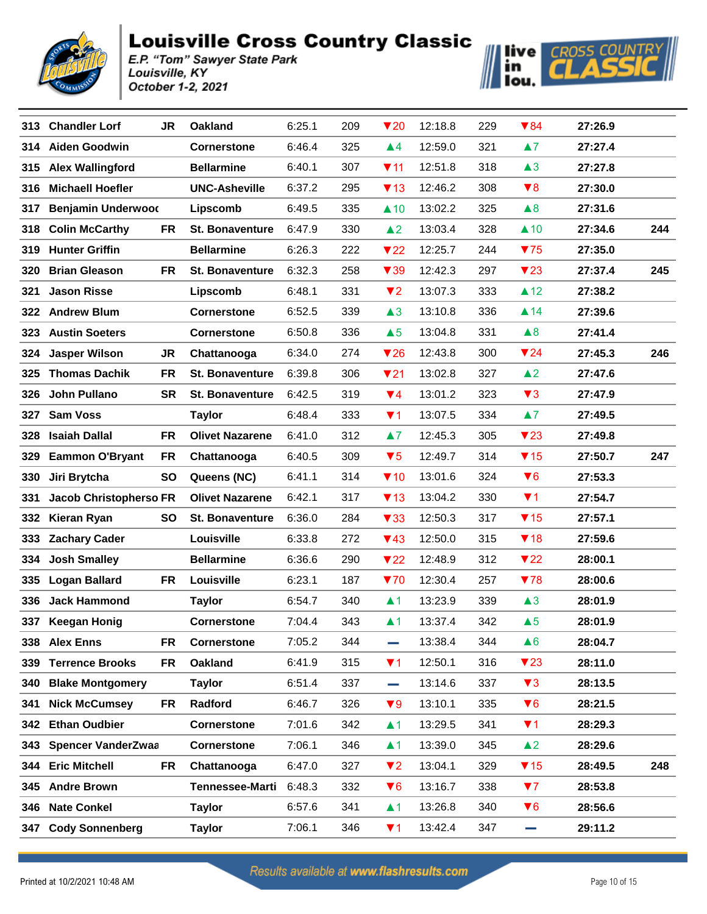



|      | 313 Chandler Lorf         | <b>JR</b> | <b>Oakland</b>         | 6:25.1 | 209 | $\blacktriangledown$ 20 | 12:18.8 | 229 | $\blacktriangledown 84$ | 27:26.9 |     |
|------|---------------------------|-----------|------------------------|--------|-----|-------------------------|---------|-----|-------------------------|---------|-----|
| 314  | <b>Aiden Goodwin</b>      |           | <b>Cornerstone</b>     | 6:46.4 | 325 | $\blacktriangle 4$      | 12:59.0 | 321 | $\blacktriangle$ 7      | 27:27.4 |     |
|      | 315 Alex Wallingford      |           | <b>Bellarmine</b>      | 6:40.1 | 307 | $\P$ 11                 | 12:51.8 | 318 | $\triangle 3$           | 27:27.8 |     |
| 316  | <b>Michaell Hoefler</b>   |           | <b>UNC-Asheville</b>   | 6:37.2 | 295 | $\P$ 13                 | 12:46.2 | 308 | $\blacktriangledown 8$  | 27:30.0 |     |
| 317  | <b>Benjamin Underwood</b> |           | Lipscomb               | 6:49.5 | 335 | $\triangle$ 10          | 13:02.2 | 325 | $\triangle 8$           | 27:31.6 |     |
| 318  | <b>Colin McCarthy</b>     | <b>FR</b> | <b>St. Bonaventure</b> | 6:47.9 | 330 | $\triangle$ 2           | 13:03.4 | 328 | $\triangle$ 10          | 27:34.6 | 244 |
| 319. | <b>Hunter Griffin</b>     |           | <b>Bellarmine</b>      | 6:26.3 | 222 | 722                     | 12:25.7 | 244 | 75                      | 27:35.0 |     |
| 320  | <b>Brian Gleason</b>      | FR        | <b>St. Bonaventure</b> | 6:32.3 | 258 | $\blacktriangledown$ 39 | 12:42.3 | 297 | $\blacktriangledown$ 23 | 27:37.4 | 245 |
| 321  | <b>Jason Risse</b>        |           | Lipscomb               | 6:48.1 | 331 | $\blacktriangledown$    | 13:07.3 | 333 | $\triangle$ 12          | 27:38.2 |     |
| 322  | <b>Andrew Blum</b>        |           | <b>Cornerstone</b>     | 6:52.5 | 339 | $\triangle 3$           | 13:10.8 | 336 | $\blacktriangle$ 14     | 27:39.6 |     |
| 323  | <b>Austin Soeters</b>     |           | <b>Cornerstone</b>     | 6:50.8 | 336 | $\triangle 5$           | 13:04.8 | 331 | $\triangle 8$           | 27:41.4 |     |
| 324  | <b>Jasper Wilson</b>      | JR        | Chattanooga            | 6:34.0 | 274 | $\blacktriangledown$ 26 | 12:43.8 | 300 | $\blacktriangledown$ 24 | 27:45.3 | 246 |
| 325  | <b>Thomas Dachik</b>      | FR        | <b>St. Bonaventure</b> | 6:39.8 | 306 | $\nabla$ 21             | 13:02.8 | 327 | $\blacktriangle$ 2      | 27:47.6 |     |
| 326  | <b>John Pullano</b>       | <b>SR</b> | <b>St. Bonaventure</b> | 6:42.5 | 319 | $\Psi$ 4                | 13:01.2 | 323 | $\blacktriangledown$ 3  | 27:47.9 |     |
| 327  | <b>Sam Voss</b>           |           | <b>Taylor</b>          | 6:48.4 | 333 | $\P$ 1                  | 13:07.5 | 334 | $\blacktriangle 7$      | 27:49.5 |     |
| 328  | <b>Isaiah Dallal</b>      | <b>FR</b> | <b>Olivet Nazarene</b> | 6:41.0 | 312 | $\blacktriangle 7$      | 12:45.3 | 305 | $\blacktriangledown$ 23 | 27:49.8 |     |
| 329  | <b>Eammon O'Bryant</b>    | FR        | Chattanooga            | 6:40.5 | 309 | $\blacktriangledown 5$  | 12:49.7 | 314 | $\P$ 15                 | 27:50.7 | 247 |
| 330  | Jiri Brytcha              | <b>SO</b> | Queens (NC)            | 6:41.1 | 314 | $\P$ 10                 | 13:01.6 | 324 | $\blacktriangledown 6$  | 27:53.3 |     |
| 331  | Jacob Christopherso FR    |           | <b>Olivet Nazarene</b> | 6:42.1 | 317 | $\P$ 13                 | 13:04.2 | 330 | $\P$ 1                  | 27:54.7 |     |
| 332  | <b>Kieran Ryan</b>        | <b>SO</b> | <b>St. Bonaventure</b> | 6:36.0 | 284 | $\blacktriangledown$ 33 | 12:50.3 | 317 | $\P$ 15                 | 27:57.1 |     |
| 333  | <b>Zachary Cader</b>      |           | Louisville             | 6:33.8 | 272 | $\P$ 43                 | 12:50.0 | 315 | $\P$ 18                 | 27:59.6 |     |
| 334  | <b>Josh Smalley</b>       |           | <b>Bellarmine</b>      | 6:36.6 | 290 | $\blacktriangledown$ 22 | 12:48.9 | 312 | $\blacktriangledown$ 22 | 28:00.1 |     |
| 335  | <b>Logan Ballard</b>      | FR        | Louisville             | 6:23.1 | 187 | 70                      | 12:30.4 | 257 | 78                      | 28:00.6 |     |
| 336  | <b>Jack Hammond</b>       |           | <b>Taylor</b>          | 6:54.7 | 340 | $\blacktriangle$ 1      | 13:23.9 | 339 | $\triangle 3$           | 28:01.9 |     |
| 337  | <b>Keegan Honig</b>       |           | <b>Cornerstone</b>     | 7:04.4 | 343 | $\blacktriangle$ 1      | 13:37.4 | 342 | $\triangle 5$           | 28:01.9 |     |
|      | 338 Alex Enns             | FR        | <b>Cornerstone</b>     | 7:05.2 | 344 |                         | 13:38.4 | 344 | $\triangle 6$           | 28:04.7 |     |
| 339  | <b>Terrence Brooks</b>    | FR        | Oakland                | 6:41.9 | 315 | $\P$ 1                  | 12:50.1 | 316 | $\blacktriangledown$ 23 | 28:11.0 |     |
| 340  | <b>Blake Montgomery</b>   |           | <b>Taylor</b>          | 6:51.4 | 337 | and a                   | 13:14.6 | 337 | $\blacktriangledown$ 3  | 28:13.5 |     |
| 341  | <b>Nick McCumsey</b>      | <b>FR</b> | Radford                | 6:46.7 | 326 | $\blacktriangledown 9$  | 13:10.1 | 335 | $\blacktriangledown 6$  | 28:21.5 |     |
| 342  | <b>Ethan Oudbier</b>      |           | <b>Cornerstone</b>     | 7:01.6 | 342 | $\blacktriangle$ 1      | 13:29.5 | 341 | $\P$ 1                  | 28:29.3 |     |
| 343  | <b>Spencer VanderZwaa</b> |           | <b>Cornerstone</b>     | 7:06.1 | 346 | $\blacktriangle$ 1      | 13:39.0 | 345 | $\triangle$ 2           | 28:29.6 |     |
| 344  | <b>Eric Mitchell</b>      | <b>FR</b> | Chattanooga            | 6:47.0 | 327 | $\P$                    | 13:04.1 | 329 | $\P$ 15                 | 28:49.5 | 248 |
| 345  | <b>Andre Brown</b>        |           | <b>Tennessee-Marti</b> | 6:48.3 | 332 | $\Psi$ 6                | 13:16.7 | 338 | 77                      | 28:53.8 |     |
| 346  | <b>Nate Conkel</b>        |           | <b>Taylor</b>          | 6:57.6 | 341 | $\blacktriangle$ 1      | 13:26.8 | 340 | $\blacktriangledown 6$  | 28:56.6 |     |
| 347  | <b>Cody Sonnenberg</b>    |           | <b>Taylor</b>          | 7:06.1 | 346 | $\P$ 1                  | 13:42.4 | 347 | e e c                   | 29:11.2 |     |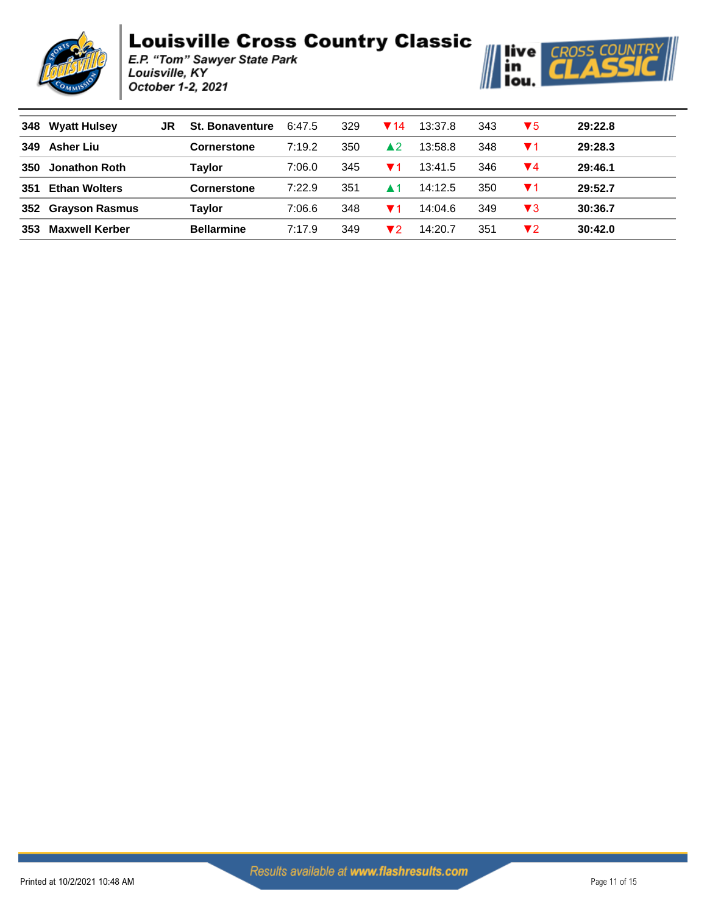



| 348 | <b>Wyatt Hulsey</b>   | JR | <b>St. Bonaventure</b> | 6:47.5 | 329 | $\P$ 14                | 13:37.8 | 343 | $\blacktriangledown 5$ | 29:22.8 |
|-----|-----------------------|----|------------------------|--------|-----|------------------------|---------|-----|------------------------|---------|
| 349 | <b>Asher Liu</b>      |    | <b>Cornerstone</b>     | 7:19.2 | 350 | $\blacktriangle$ 2     | 13:58.8 | 348 | $\P$ 1                 | 29:28.3 |
| 350 | <b>Jonathon Roth</b>  |    | Taylor                 | 7:06.0 | 345 | ▼1                     | 13:41.5 | 346 | ▼4                     | 29:46.1 |
| 351 | <b>Ethan Wolters</b>  |    | <b>Cornerstone</b>     | 7:22.9 | 351 | $\blacktriangle$ 1     | 14:12.5 | 350 | $\blacktriangledown$ 1 | 29:52.7 |
| 352 | <b>Grayson Rasmus</b> |    | Tavlor                 | 7:06.6 | 348 | $\blacktriangledown$ 1 | 14:04.6 | 349 | $\blacktriangledown 3$ | 30:36.7 |
| 353 | Maxwell Kerber        |    | <b>Bellarmine</b>      | 7:17.9 | 349 | ▼2                     | 14:20.7 | 351 | ▼2                     | 30:42.0 |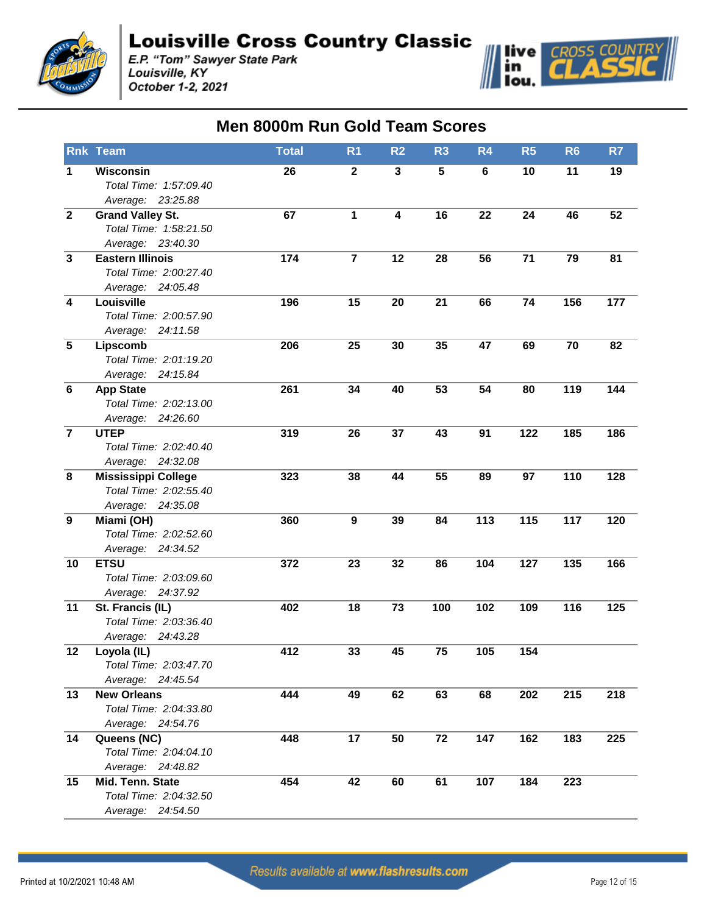

E.P. "Tom" Sawyer State Park<br>Louisville, KY October 1-2, 2021



|                         | <b>Rnk Team</b>                                   | <b>Total</b> | R <sub>1</sub> | R <sub>2</sub>          | R <sub>3</sub>  | R <sub>4</sub>   | R <sub>5</sub> | R <sub>6</sub> | R7  |
|-------------------------|---------------------------------------------------|--------------|----------------|-------------------------|-----------------|------------------|----------------|----------------|-----|
| 1                       | Wisconsin                                         | 26           | $\mathbf{2}$   | $\mathbf{3}$            | 5               | 6                | 10             | 11             | 19  |
|                         | Total Time: 1:57:09.40                            |              |                |                         |                 |                  |                |                |     |
|                         | Average: 23:25.88                                 |              |                |                         |                 |                  |                |                |     |
| $\overline{\mathbf{2}}$ | <b>Grand Valley St.</b>                           | 67           | 1              | $\overline{\mathbf{4}}$ | 16              | 22               | 24             | 46             | 52  |
|                         | Total Time: 1:58:21.50                            |              |                |                         |                 |                  |                |                |     |
|                         | Average: 23:40.30                                 |              |                |                         |                 |                  |                |                |     |
| $\overline{\mathbf{3}}$ | <b>Eastern Illinois</b><br>Total Time: 2:00:27.40 | 174          | $\overline{7}$ | 12                      | 28              | 56               | 71             | 79             | 81  |
|                         |                                                   |              |                |                         |                 |                  |                |                |     |
| 4                       | Average: 24:05.48<br>Louisville                   | 196          | 15             | 20                      | 21              | 66               | 74             | 156            | 177 |
|                         | Total Time: 2:00:57.90                            |              |                |                         |                 |                  |                |                |     |
|                         | Average: 24:11.58                                 |              |                |                         |                 |                  |                |                |     |
| $\overline{5}$          | Lipscomb                                          | 206          | 25             | 30                      | 35              | 47               | 69             | 70             | 82  |
|                         | Total Time: 2:01:19.20                            |              |                |                         |                 |                  |                |                |     |
|                         | 24:15.84<br>Average:                              |              |                |                         |                 |                  |                |                |     |
| $\bf 6$                 | <b>App State</b>                                  | 261          | 34             | 40                      | 53              | 54               | 80             | 119            | 144 |
|                         | Total Time: 2:02:13.00                            |              |                |                         |                 |                  |                |                |     |
|                         | Average: 24:26.60                                 |              |                |                         |                 |                  |                |                |     |
| $\overline{7}$          | <b>UTEP</b>                                       | 319          | 26             | 37                      | 43              | 91               | 122            | 185            | 186 |
|                         | Total Time: 2:02:40.40                            |              |                |                         |                 |                  |                |                |     |
|                         | Average: 24:32.08                                 |              |                |                         |                 |                  |                |                |     |
| 8                       | <b>Mississippi College</b>                        | 323          | 38             | 44                      | 55              | 89               | 97             | 110            | 128 |
|                         | Total Time: 2:02:55.40                            |              |                |                         |                 |                  |                |                |     |
|                         | Average: 24:35.08                                 |              |                |                         |                 |                  |                |                |     |
| $\boldsymbol{9}$        | Miami (OH)                                        | 360          | 9              | 39                      | 84              | 113              | 115            | 117            | 120 |
|                         | Total Time: 2:02:52.60                            |              |                |                         |                 |                  |                |                |     |
| 10                      | Average: 24:34.52<br><b>ETSU</b>                  | 372          | 23             | 32                      | 86              | 104              | 127            | 135            | 166 |
|                         | Total Time: 2:03:09.60                            |              |                |                         |                 |                  |                |                |     |
|                         | Average: 24:37.92                                 |              |                |                         |                 |                  |                |                |     |
| 11                      | St. Francis (IL)                                  | 402          | 18             | 73                      | 100             | 102              | 109            | 116            | 125 |
|                         | Total Time: 2:03:36.40                            |              |                |                         |                 |                  |                |                |     |
|                         | Average: 24:43.28                                 |              |                |                         |                 |                  |                |                |     |
| 12                      | Loyola (IL)                                       | 412          | 33             | 45                      | $\overline{75}$ | $\overline{105}$ | 154            |                |     |
|                         | Total Time: 2:03:47.70                            |              |                |                         |                 |                  |                |                |     |
|                         | Average: 24:45.54                                 |              |                |                         |                 |                  |                |                |     |
| 13                      | <b>New Orleans</b>                                | 444          | 49             | 62                      | 63              | 68               | 202            | 215            | 218 |
|                         | Total Time: 2:04:33.80                            |              |                |                         |                 |                  |                |                |     |
|                         | Average: 24:54.76                                 |              |                |                         |                 |                  |                |                |     |
| 14                      | Queens (NC)                                       | 448          | 17             | 50                      | 72              | 147              | 162            | 183            | 225 |
|                         | Total Time: 2:04:04.10                            |              |                |                         |                 |                  |                |                |     |
|                         | Average: 24:48.82                                 |              |                |                         |                 |                  |                |                |     |
| 15                      | Mid. Tenn. State                                  | 454          | 42             | 60                      | 61              | 107              | 184            | 223            |     |
|                         | Total Time: 2:04:32.50                            |              |                |                         |                 |                  |                |                |     |
|                         | Average: 24:54.50                                 |              |                |                         |                 |                  |                |                |     |

#### **Men 8000m Run Gold Team Scores**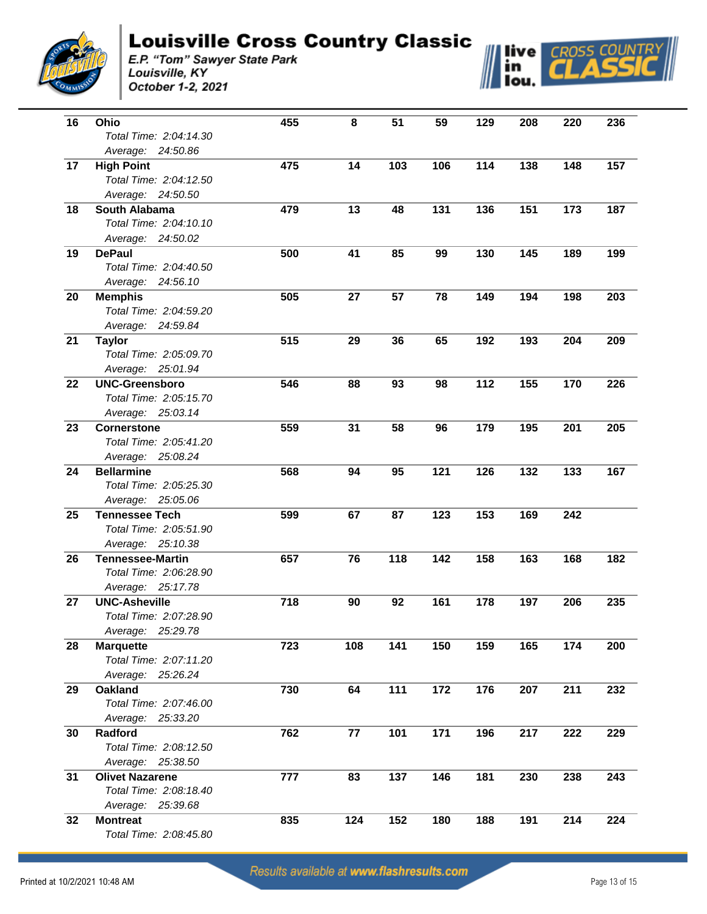



| 16 | Ohio                                        | 455 | 8   | 51  | 59  | 129 | 208 | 220 | 236 |
|----|---------------------------------------------|-----|-----|-----|-----|-----|-----|-----|-----|
|    | Total Time: 2:04:14.30                      |     |     |     |     |     |     |     |     |
|    | Average: 24:50.86                           |     |     |     |     |     |     |     |     |
| 17 |                                             | 475 | 14  | 103 | 106 | 114 | 138 | 148 | 157 |
|    | <b>High Point</b><br>Total Time: 2:04:12.50 |     |     |     |     |     |     |     |     |
|    |                                             |     |     |     |     |     |     |     |     |
| 18 | Average: 24:50.50<br>South Alabama          | 479 | 13  |     | 131 | 136 | 151 |     | 187 |
|    |                                             |     |     | 48  |     |     |     | 173 |     |
|    | Total Time: 2:04:10.10                      |     |     |     |     |     |     |     |     |
|    | Average: 24:50.02                           |     |     |     |     |     |     |     |     |
| 19 | <b>DePaul</b>                               | 500 | 41  | 85  | 99  | 130 | 145 | 189 | 199 |
|    | Total Time: 2:04:40.50                      |     |     |     |     |     |     |     |     |
|    | Average: 24:56.10                           |     |     |     |     |     |     |     |     |
| 20 | <b>Memphis</b>                              | 505 | 27  | 57  | 78  | 149 | 194 | 198 | 203 |
|    | Total Time: 2:04:59.20                      |     |     |     |     |     |     |     |     |
|    | Average: 24:59.84                           |     |     |     |     |     |     |     |     |
| 21 | <b>Taylor</b>                               | 515 | 29  | 36  | 65  | 192 | 193 | 204 | 209 |
|    | Total Time: 2:05:09.70                      |     |     |     |     |     |     |     |     |
|    | Average: 25:01.94                           |     |     |     |     |     |     |     |     |
| 22 | <b>UNC-Greensboro</b>                       | 546 | 88  | 93  | 98  | 112 | 155 | 170 | 226 |
|    | Total Time: 2:05:15.70                      |     |     |     |     |     |     |     |     |
|    | Average: 25:03.14                           |     |     |     |     |     |     |     |     |
| 23 | <b>Cornerstone</b>                          | 559 | 31  | 58  | 96  | 179 | 195 | 201 | 205 |
|    | Total Time: 2:05:41.20                      |     |     |     |     |     |     |     |     |
|    | Average: 25:08.24                           |     |     |     |     |     |     |     |     |
| 24 | <b>Bellarmine</b>                           | 568 | 94  | 95  | 121 | 126 | 132 | 133 | 167 |
|    | Total Time: 2:05:25.30                      |     |     |     |     |     |     |     |     |
|    | Average: 25:05.06                           |     |     |     |     |     |     |     |     |
| 25 | <b>Tennessee Tech</b>                       | 599 | 67  | 87  | 123 | 153 | 169 | 242 |     |
|    | Total Time: 2:05:51.90                      |     |     |     |     |     |     |     |     |
|    | Average: 25:10.38                           |     |     |     |     |     |     |     |     |
| 26 | <b>Tennessee-Martin</b>                     | 657 | 76  | 118 | 142 | 158 | 163 | 168 | 182 |
|    | Total Time: 2:06:28.90                      |     |     |     |     |     |     |     |     |
|    | Average: 25:17.78                           |     |     |     |     |     |     |     |     |
| 27 | <b>UNC-Asheville</b>                        | 718 | 90  | 92  | 161 | 178 | 197 | 206 | 235 |
|    | Total Time: 2:07:28.90                      |     |     |     |     |     |     |     |     |
|    | Average:<br>25:29.78                        |     |     |     |     |     |     |     |     |
| 28 | <b>Marquette</b>                            | 723 | 108 | 141 | 150 | 159 | 165 | 174 | 200 |
|    | Total Time: 2:07:11.20                      |     |     |     |     |     |     |     |     |
|    | Average: 25:26.24                           |     |     |     |     |     |     |     |     |
| 29 | <b>Oakland</b>                              | 730 | 64  | 111 | 172 | 176 | 207 | 211 | 232 |
|    | Total Time: 2:07:46.00                      |     |     |     |     |     |     |     |     |
|    | Average: 25:33.20                           |     |     |     |     |     |     |     |     |
| 30 | Radford                                     | 762 | 77  | 101 | 171 | 196 | 217 | 222 | 229 |
|    | Total Time: 2:08:12.50                      |     |     |     |     |     |     |     |     |
|    | Average: 25:38.50                           |     |     |     |     |     |     |     |     |
| 31 | <b>Olivet Nazarene</b>                      | 777 | 83  | 137 | 146 | 181 | 230 | 238 | 243 |
|    | Total Time: 2:08:18.40                      |     |     |     |     |     |     |     |     |
|    | Average: 25:39.68                           |     |     |     |     |     |     |     |     |
|    |                                             |     |     |     |     |     |     |     |     |
| 32 | <b>Montreat</b>                             | 835 | 124 | 152 | 180 | 188 | 191 | 214 | 224 |
|    | Total Time: 2:08:45.80                      |     |     |     |     |     |     |     |     |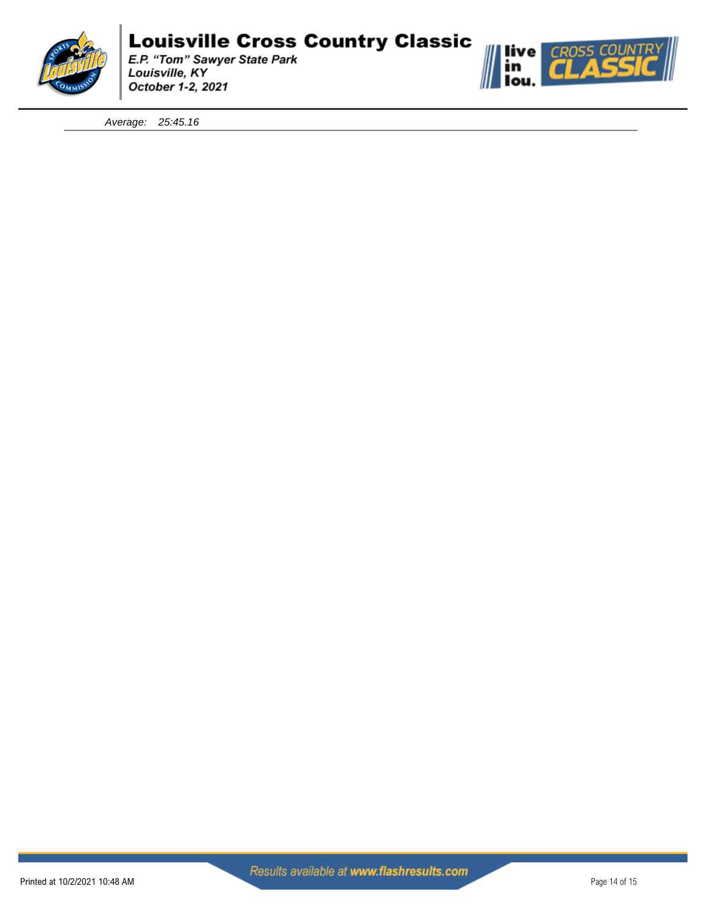

E.P. "Tom" Sawyer State Park<br>Louisville, KY October 1-2, 2021



*Average: 25:45.16*